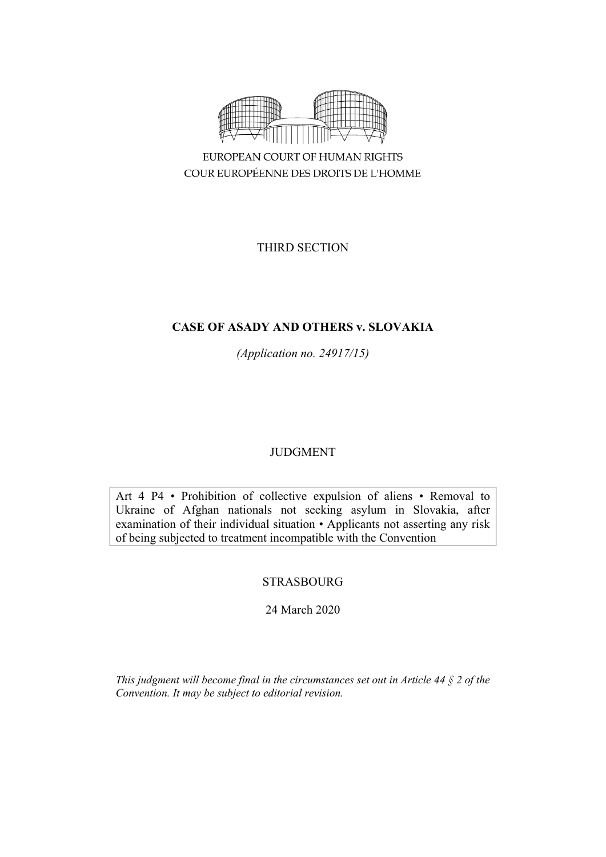

THIRD SECTION

# **CASE OF ASADY AND OTHERS v. SLOVAKIA**

*(Application no. 24917/15)*

# JUDGMENT

Art 4 P4 • Prohibition of collective expulsion of aliens • Removal to Ukraine of Afghan nationals not seeking asylum in Slovakia, after examination of their individual situation • Applicants not asserting any risk of being subjected to treatment incompatible with the Convention

# STRASBOURG

24 March 2020

*This judgment will become final in the circumstances set out in Article 44 § 2 of the Convention. It may be subject to editorial revision.*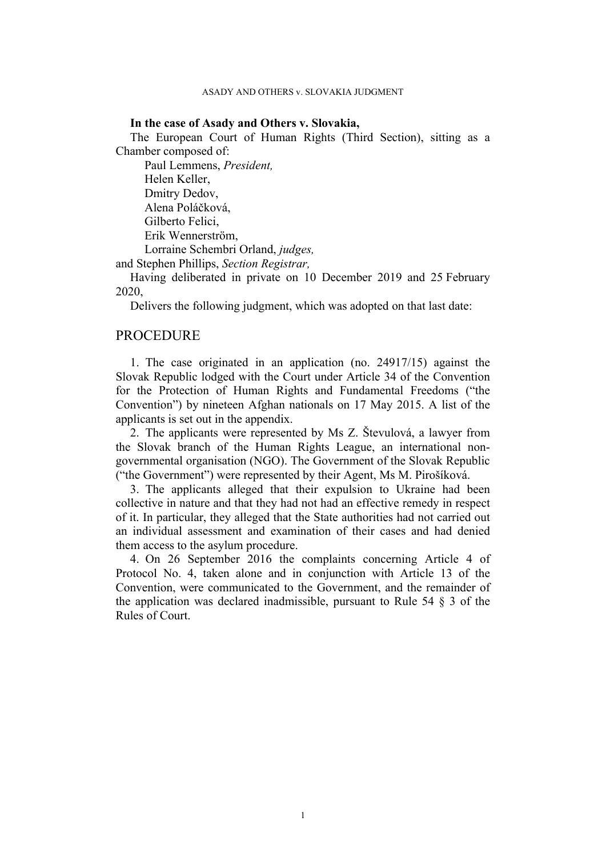#### **In the case of Asady and Others v. Slovakia,**

The European Court of Human Rights (Third Section), sitting as a Chamber composed of:

Paul Lemmens, *President,* Helen Keller, Dmitry Dedov, Alena Poláčková, Gilberto Felici, Erik Wennerström, Lorraine Schembri Orland, *judges,*

and Stephen Phillips, *Section Registrar,*

Having deliberated in private on 10 December 2019 and 25 February 2020,

Delivers the following judgment, which was adopted on that last date:

### **PROCEDURE**

1. The case originated in an application (no. 24917/15) against the Slovak Republic lodged with the Court under Article 34 of the Convention for the Protection of Human Rights and Fundamental Freedoms ("the Convention") by nineteen Afghan nationals on 17 May 2015. A list of the applicants is set out in the appendix.

2. The applicants were represented by Ms Z. Števulová, a lawyer from the Slovak branch of the Human Rights League, an international nongovernmental organisation (NGO). The Government of the Slovak Republic ("the Government") were represented by their Agent, Ms M. Pirošíková.

3. The applicants alleged that their expulsion to Ukraine had been collective in nature and that they had not had an effective remedy in respect of it. In particular, they alleged that the State authorities had not carried out an individual assessment and examination of their cases and had denied them access to the asylum procedure.

4. On 26 September 2016 the complaints concerning Article 4 of Protocol No. 4, taken alone and in conjunction with Article 13 of the Convention, were communicated to the Government, and the remainder of the application was declared inadmissible, pursuant to Rule  $54 \S 3$  of the Rules of Court.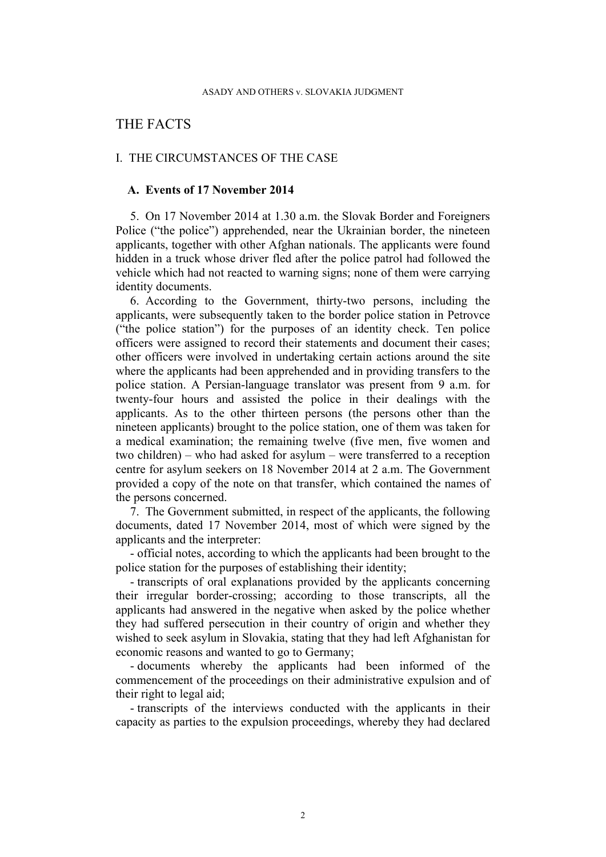# THE FACTS

### I. THE CIRCUMSTANCES OF THE CASE

### **A. Events of 17 November 2014**

5. On 17 November 2014 at 1.30 a.m. the Slovak Border and Foreigners Police ("the police") apprehended, near the Ukrainian border, the nineteen applicants, together with other Afghan nationals. The applicants were found hidden in a truck whose driver fled after the police patrol had followed the vehicle which had not reacted to warning signs; none of them were carrying identity documents.

<span id="page-2-1"></span>6. According to the Government, thirty-two persons, including the applicants, were subsequently taken to the border police station in Petrovce ("the police station") for the purposes of an identity check. Ten police officers were assigned to record their statements and document their cases; other officers were involved in undertaking certain actions around the site where the applicants had been apprehended and in providing transfers to the police station. A Persian-language translator was present from 9 a.m. for twenty-four hours and assisted the police in their dealings with the applicants. As to the other thirteen persons (the persons other than the nineteen applicants) brought to the police station, one of them was taken for a medical examination; the remaining twelve (five men, five women and two children) – who had asked for asylum – were transferred to a reception centre for asylum seekers on 18 November 2014 at 2 a.m. The Government provided a copy of the note on that transfer, which contained the names of the persons concerned.

<span id="page-2-0"></span>7. The Government submitted, in respect of the applicants, the following documents, dated 17 November 2014, most of which were signed by the applicants and the interpreter:

- official notes, according to which the applicants had been brought to the police station for the purposes of establishing their identity;

- transcripts of oral explanations provided by the applicants concerning their irregular border-crossing; according to those transcripts, all the applicants had answered in the negative when asked by the police whether they had suffered persecution in their country of origin and whether they wished to seek asylum in Slovakia, stating that they had left Afghanistan for economic reasons and wanted to go to Germany;

- documents whereby the applicants had been informed of the commencement of the proceedings on their administrative expulsion and of their right to legal aid;

- transcripts of the interviews conducted with the applicants in their capacity as parties to the expulsion proceedings, whereby they had declared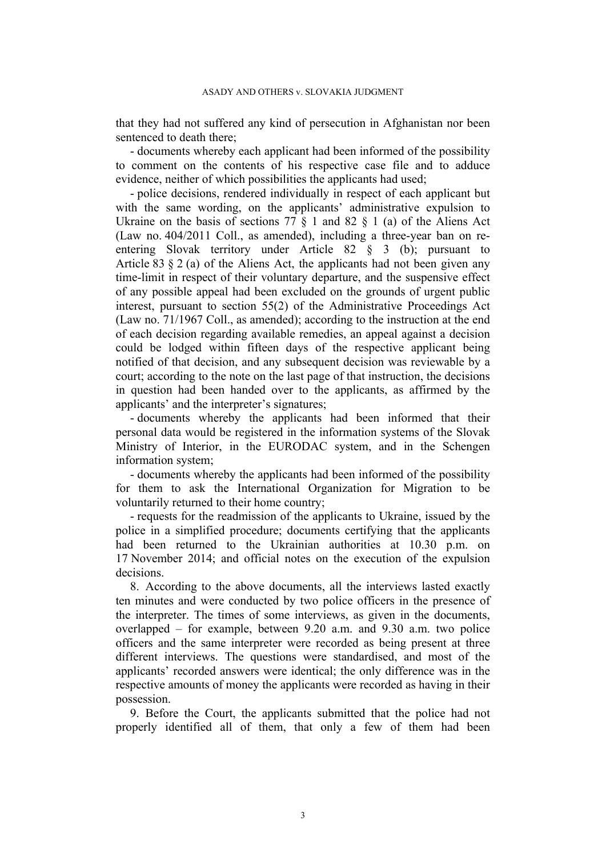that they had not suffered any kind of persecution in Afghanistan nor been sentenced to death there;

- documents whereby each applicant had been informed of the possibility to comment on the contents of his respective case file and to adduce evidence, neither of which possibilities the applicants had used;

- police decisions, rendered individually in respect of each applicant but with the same wording, on the applicants' administrative expulsion to Ukraine on the basis of sections 77  $\S$  1 and 82  $\S$  1 (a) of the Aliens Act (Law no. 404/2011 Coll., as amended), including a three-year ban on reentering Slovak territory under Article 82 § 3 (b); pursuant to Article 83  $\S 2$  (a) of the Aliens Act, the applicants had not been given any time-limit in respect of their voluntary departure, and the suspensive effect of any possible appeal had been excluded on the grounds of urgent public interest, pursuant to section 55(2) of the Administrative Proceedings Act (Law no. 71/1967 Coll., as amended); according to the instruction at the end of each decision regarding available remedies, an appeal against a decision could be lodged within fifteen days of the respective applicant being notified of that decision, and any subsequent decision was reviewable by a court; according to the note on the last page of that instruction, the decisions in question had been handed over to the applicants, as affirmed by the applicants' and the interpreter's signatures;

- documents whereby the applicants had been informed that their personal data would be registered in the information systems of the Slovak Ministry of Interior, in the EURODAC system, and in the Schengen information system;

- documents whereby the applicants had been informed of the possibility for them to ask the International Organization for Migration to be voluntarily returned to their home country;

- requests for the readmission of the applicants to Ukraine, issued by the police in a simplified procedure; documents certifying that the applicants had been returned to the Ukrainian authorities at 10.30 p.m. on 17 November 2014; and official notes on the execution of the expulsion decisions.

<span id="page-3-0"></span>8. According to the above documents, all the interviews lasted exactly ten minutes and were conducted by two police officers in the presence of the interpreter. The times of some interviews, as given in the documents, overlapped – for example, between 9.20 a.m. and 9.30 a.m. two police officers and the same interpreter were recorded as being present at three different interviews. The questions were standardised, and most of the applicants' recorded answers were identical; the only difference was in the respective amounts of money the applicants were recorded as having in their possession.

9. Before the Court, the applicants submitted that the police had not properly identified all of them, that only a few of them had been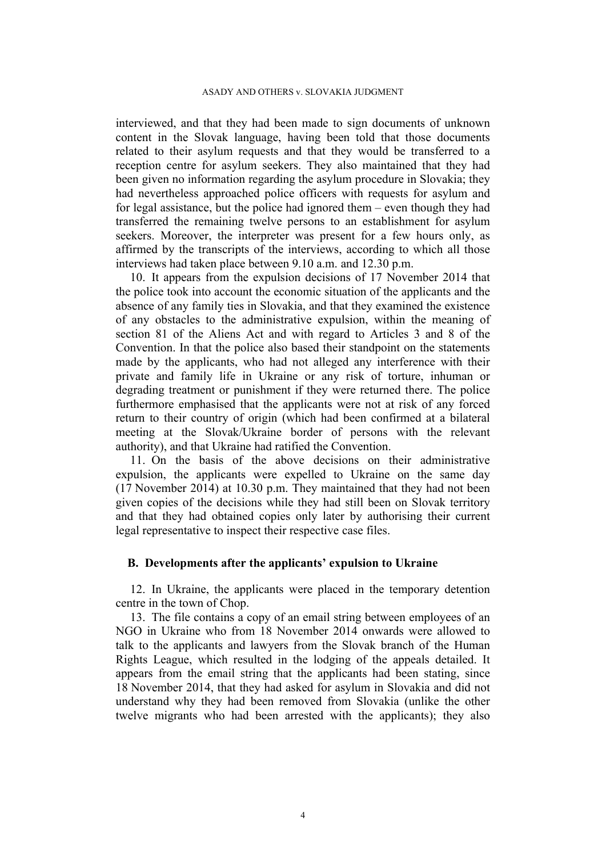interviewed, and that they had been made to sign documents of unknown content in the Slovak language, having been told that those documents related to their asylum requests and that they would be transferred to a reception centre for asylum seekers. They also maintained that they had been given no information regarding the asylum procedure in Slovakia; they had nevertheless approached police officers with requests for asylum and for legal assistance, but the police had ignored them – even though they had transferred the remaining twelve persons to an establishment for asylum seekers. Moreover, the interpreter was present for a few hours only, as affirmed by the transcripts of the interviews, according to which all those interviews had taken place between 9.10 a.m. and 12.30 p.m.

<span id="page-4-0"></span>10. It appears from the expulsion decisions of 17 November 2014 that the police took into account the economic situation of the applicants and the absence of any family ties in Slovakia, and that they examined the existence of any obstacles to the administrative expulsion, within the meaning of section 81 of the Aliens Act and with regard to Articles 3 and 8 of the Convention. In that the police also based their standpoint on the statements made by the applicants, who had not alleged any interference with their private and family life in Ukraine or any risk of torture, inhuman or degrading treatment or punishment if they were returned there. The police furthermore emphasised that the applicants were not at risk of any forced return to their country of origin (which had been confirmed at a bilateral meeting at the Slovak/Ukraine border of persons with the relevant authority), and that Ukraine had ratified the Convention.

11. On the basis of the above decisions on their administrative expulsion, the applicants were expelled to Ukraine on the same day (17 November 2014) at 10.30 p.m. They maintained that they had not been given copies of the decisions while they had still been on Slovak territory and that they had obtained copies only later by authorising their current legal representative to inspect their respective case files.

#### **B. Developments after the applicants' expulsion to Ukraine**

12. In Ukraine, the applicants were placed in the temporary detention centre in the town of Chop.

<span id="page-4-1"></span>13. The file contains a copy of an email string between employees of an NGO in Ukraine who from 18 November 2014 onwards were allowed to talk to the applicants and lawyers from the Slovak branch of the Human Rights League, which resulted in the lodging of the appeals detailed. It appears from the email string that the applicants had been stating, since 18 November 2014, that they had asked for asylum in Slovakia and did not understand why they had been removed from Slovakia (unlike the other twelve migrants who had been arrested with the applicants); they also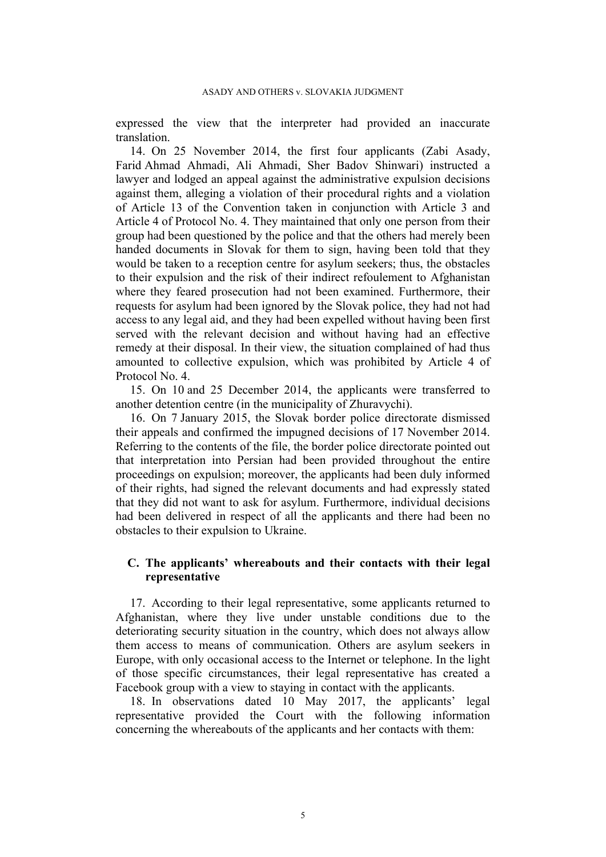expressed the view that the interpreter had provided an inaccurate translation.

<span id="page-5-1"></span>14. On 25 November 2014, the first four applicants (Zabi Asady, Farid Ahmad Ahmadi, Ali Ahmadi, Sher Badov Shinwari) instructed a lawyer and lodged an appeal against the administrative expulsion decisions against them, alleging a violation of their procedural rights and a violation of Article 13 of the Convention taken in conjunction with Article 3 and Article 4 of Protocol No. 4. They maintained that only one person from their group had been questioned by the police and that the others had merely been handed documents in Slovak for them to sign, having been told that they would be taken to a reception centre for asylum seekers; thus, the obstacles to their expulsion and the risk of their indirect refoulement to Afghanistan where they feared prosecution had not been examined. Furthermore, their requests for asylum had been ignored by the Slovak police, they had not had access to any legal aid, and they had been expelled without having been first served with the relevant decision and without having had an effective remedy at their disposal. In their view, the situation complained of had thus amounted to collective expulsion, which was prohibited by Article 4 of Protocol No. 4.

15. On 10 and 25 December 2014, the applicants were transferred to another detention centre (in the municipality of Zhuravychi).

16. On 7 January 2015, the Slovak border police directorate dismissed their appeals and confirmed the impugned decisions of 17 November 2014. Referring to the contents of the file, the border police directorate pointed out that interpretation into Persian had been provided throughout the entire proceedings on expulsion; moreover, the applicants had been duly informed of their rights, had signed the relevant documents and had expressly stated that they did not want to ask for asylum. Furthermore, individual decisions had been delivered in respect of all the applicants and there had been no obstacles to their expulsion to Ukraine.

## **C. The applicants' whereabouts and their contacts with their legal representative**

17. According to their legal representative, some applicants returned to Afghanistan, where they live under unstable conditions due to the deteriorating security situation in the country, which does not always allow them access to means of communication. Others are asylum seekers in Europe, with only occasional access to the Internet or telephone. In the light of those specific circumstances, their legal representative has created a Facebook group with a view to staying in contact with the applicants.

<span id="page-5-0"></span>18. In observations dated 10 May 2017, the applicants' legal representative provided the Court with the following information concerning the whereabouts of the applicants and her contacts with them: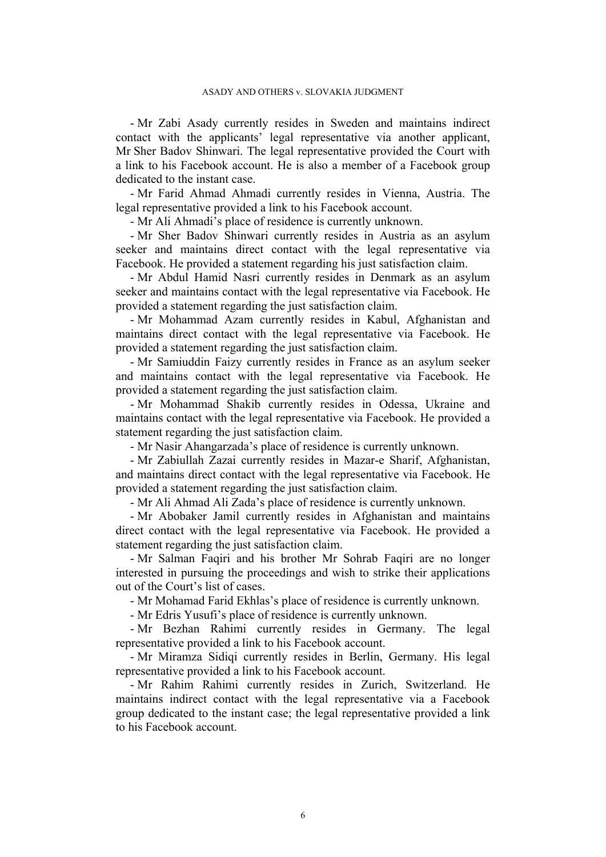- Mr Zabi Asady currently resides in Sweden and maintains indirect contact with the applicants' legal representative via another applicant, Mr Sher Badov Shinwari. The legal representative provided the Court with a link to his Facebook account. He is also a member of a Facebook group dedicated to the instant case.

- Mr Farid Ahmad Ahmadi currently resides in Vienna, Austria. The legal representative provided a link to his Facebook account.

- Mr Ali Ahmadi's place of residence is currently unknown.

- Mr Sher Badov Shinwari currently resides in Austria as an asylum seeker and maintains direct contact with the legal representative via Facebook. He provided a statement regarding his just satisfaction claim.

- Mr Abdul Hamid Nasri currently resides in Denmark as an asylum seeker and maintains contact with the legal representative via Facebook. He provided a statement regarding the just satisfaction claim.

- Mr Mohammad Azam currently resides in Kabul, Afghanistan and maintains direct contact with the legal representative via Facebook. He provided a statement regarding the just satisfaction claim.

- Mr Samiuddin Faizy currently resides in France as an asylum seeker and maintains contact with the legal representative via Facebook. He provided a statement regarding the just satisfaction claim.

- Mr Mohammad Shakib currently resides in Odessa, Ukraine and maintains contact with the legal representative via Facebook. He provided a statement regarding the just satisfaction claim.

- Mr Nasir Ahangarzada's place of residence is currently unknown.

- Mr Zabiullah Zazai currently resides in Mazar-e Sharif, Afghanistan, and maintains direct contact with the legal representative via Facebook. He provided a statement regarding the just satisfaction claim.

- Mr Ali Ahmad Ali Zada's place of residence is currently unknown.

- Mr Abobaker Jamil currently resides in Afghanistan and maintains direct contact with the legal representative via Facebook. He provided a statement regarding the just satisfaction claim.

- Mr Salman Faqiri and his brother Mr Sohrab Faqiri are no longer interested in pursuing the proceedings and wish to strike their applications out of the Court's list of cases.

- Mr Mohamad Farid Ekhlas's place of residence is currently unknown.

- Mr Edris Yusufi's place of residence is currently unknown.

- Mr Bezhan Rahimi currently resides in Germany. The legal representative provided a link to his Facebook account.

- Mr Miramza Sidiqi currently resides in Berlin, Germany. His legal representative provided a link to his Facebook account.

- Mr Rahim Rahimi currently resides in Zurich, Switzerland. He maintains indirect contact with the legal representative via a Facebook group dedicated to the instant case; the legal representative provided a link to his Facebook account.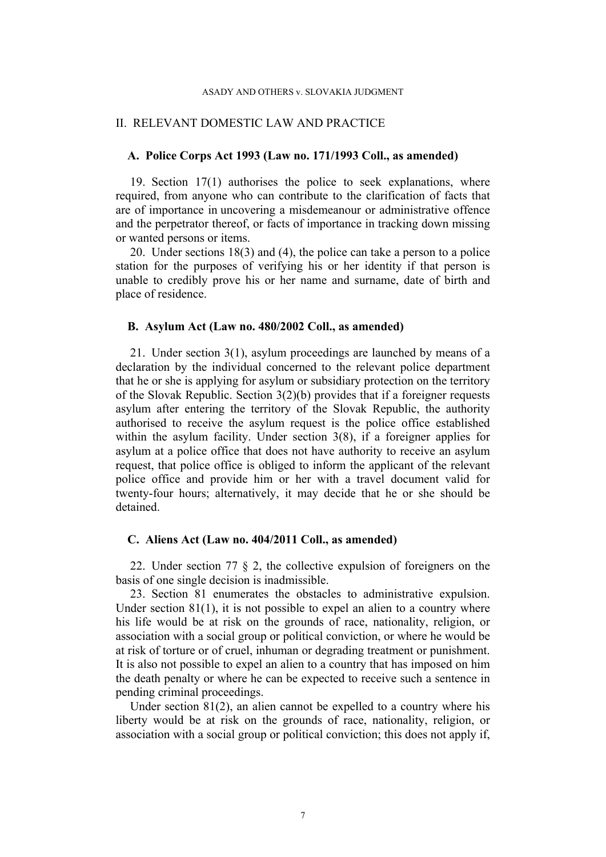#### ASADY AND OTHERS v. SLOVAKIA JUDGMENT

#### II. RELEVANT DOMESTIC LAW AND PRACTICE

### **A. Police Corps Act 1993 (Law no. 171/1993 Coll., as amended)**

19. Section 17(1) authorises the police to seek explanations, where required, from anyone who can contribute to the clarification of facts that are of importance in uncovering a misdemeanour or administrative offence and the perpetrator thereof, or facts of importance in tracking down missing or wanted persons or items.

20. Under sections 18(3) and (4), the police can take a person to a police station for the purposes of verifying his or her identity if that person is unable to credibly prove his or her name and surname, date of birth and place of residence.

### **B. Asylum Act (Law no. 480/2002 Coll., as amended)**

21. Under section 3(1), asylum proceedings are launched by means of a declaration by the individual concerned to the relevant police department that he or she is applying for asylum or subsidiary protection on the territory of the Slovak Republic. Section 3(2)(b) provides that if a foreigner requests asylum after entering the territory of the Slovak Republic, the authority authorised to receive the asylum request is the police office established within the asylum facility. Under section 3(8), if a foreigner applies for asylum at a police office that does not have authority to receive an asylum request, that police office is obliged to inform the applicant of the relevant police office and provide him or her with a travel document valid for twenty-four hours; alternatively, it may decide that he or she should be detained.

### **C. Aliens Act (Law no. 404/2011 Coll., as amended)**

22. Under section 77 § 2, the collective expulsion of foreigners on the basis of one single decision is inadmissible.

23. Section 81 enumerates the obstacles to administrative expulsion. Under section  $81(1)$ , it is not possible to expel an alien to a country where his life would be at risk on the grounds of race, nationality, religion, or association with a social group or political conviction, or where he would be at risk of torture or of cruel, inhuman or degrading treatment or punishment. It is also not possible to expel an alien to a country that has imposed on him the death penalty or where he can be expected to receive such a sentence in pending criminal proceedings.

Under section 81(2), an alien cannot be expelled to a country where his liberty would be at risk on the grounds of race, nationality, religion, or association with a social group or political conviction; this does not apply if,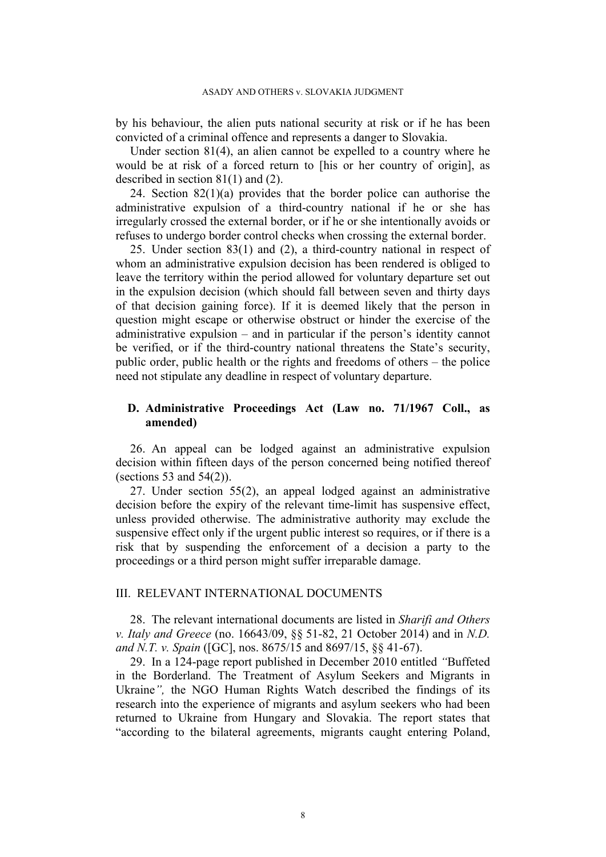by his behaviour, the alien puts national security at risk or if he has been convicted of a criminal offence and represents a danger to Slovakia.

Under section 81(4), an alien cannot be expelled to a country where he would be at risk of a forced return to [his or her country of origin], as described in section 81(1) and (2).

24. Section  $82(1)(a)$  provides that the border police can authorise the administrative expulsion of a third-country national if he or she has irregularly crossed the external border, or if he or she intentionally avoids or refuses to undergo border control checks when crossing the external border.

25. Under section 83(1) and (2), a third-country national in respect of whom an administrative expulsion decision has been rendered is obliged to leave the territory within the period allowed for voluntary departure set out in the expulsion decision (which should fall between seven and thirty days of that decision gaining force). If it is deemed likely that the person in question might escape or otherwise obstruct or hinder the exercise of the administrative expulsion – and in particular if the person's identity cannot be verified, or if the third-country national threatens the State's security, public order, public health or the rights and freedoms of others – the police need not stipulate any deadline in respect of voluntary departure.

# **D. Administrative Proceedings Act (Law no. 71/1967 Coll., as amended)**

26. An appeal can be lodged against an administrative expulsion decision within fifteen days of the person concerned being notified thereof (sections 53 and  $54(2)$ ).

27. Under section 55(2), an appeal lodged against an administrative decision before the expiry of the relevant time-limit has suspensive effect, unless provided otherwise. The administrative authority may exclude the suspensive effect only if the urgent public interest so requires, or if there is a risk that by suspending the enforcement of a decision a party to the proceedings or a third person might suffer irreparable damage.

### III. RELEVANT INTERNATIONAL DOCUMENTS

28. The relevant international documents are listed in *Sharifi and Others v. Italy and Greece* (no. 16643/09, §§ 51-82, 21 October 2014) and in *N.D. and N.T. v. Spain* ([GC], nos. 8675/15 and 8697/15, §§ 41-67).

29. In a 124-page report published in December 2010 entitled *"*Buffeted in the Borderland. The Treatment of Asylum Seekers and Migrants in Ukraine*",* the NGO Human Rights Watch described the findings of its research into the experience of migrants and asylum seekers who had been returned to Ukraine from Hungary and Slovakia. The report states that "according to the bilateral agreements, migrants caught entering Poland,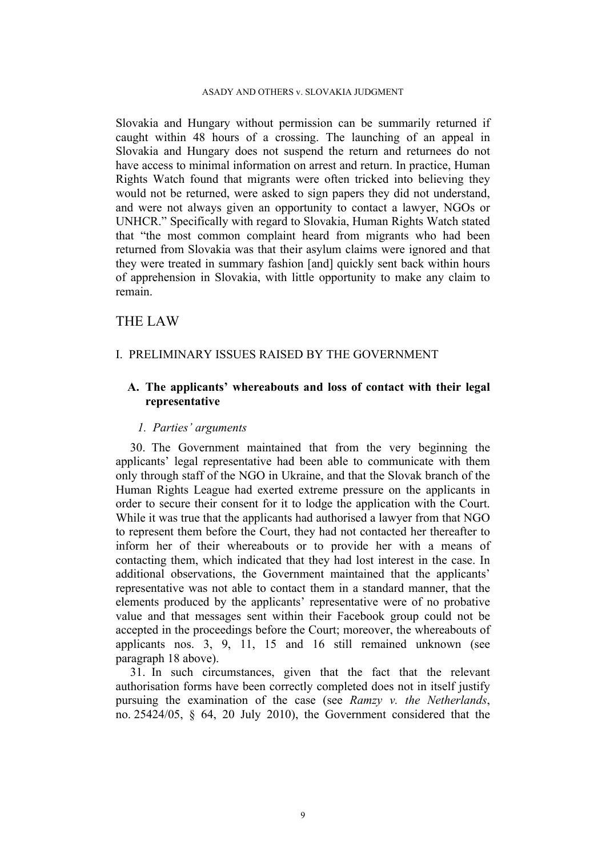#### ASADY AND OTHERS v. SLOVAKIA JUDGMENT

Slovakia and Hungary without permission can be summarily returned if caught within 48 hours of a crossing. The launching of an appeal in Slovakia and Hungary does not suspend the return and returnees do not have access to minimal information on arrest and return. In practice, Human Rights Watch found that migrants were often tricked into believing they would not be returned, were asked to sign papers they did not understand, and were not always given an opportunity to contact a lawyer, NGOs or UNHCR." Specifically with regard to Slovakia, Human Rights Watch stated that "the most common complaint heard from migrants who had been returned from Slovakia was that their asylum claims were ignored and that they were treated in summary fashion [and] quickly sent back within hours of apprehension in Slovakia, with little opportunity to make any claim to remain.

## THE LAW

### I. PRELIMINARY ISSUES RAISED BY THE GOVERNMENT

## **A. The applicants' whereabouts and loss of contact with their legal representative**

#### *1. Parties' arguments*

30. The Government maintained that from the very beginning the applicants' legal representative had been able to communicate with them only through staff of the NGO in Ukraine, and that the Slovak branch of the Human Rights League had exerted extreme pressure on the applicants in order to secure their consent for it to lodge the application with the Court. While it was true that the applicants had authorised a lawyer from that NGO to represent them before the Court, they had not contacted her thereafter to inform her of their whereabouts or to provide her with a means of contacting them, which indicated that they had lost interest in the case. In additional observations, the Government maintained that the applicants' representative was not able to contact them in a standard manner, that the elements produced by the applicants' representative were of no probative value and that messages sent within their Facebook group could not be accepted in the proceedings before the Court; moreover, the whereabouts of applicants nos. 3, 9, 11, 15 and 16 still remained unknown (see paragraph [18](#page-5-0) above).

31. In such circumstances, given that the fact that the relevant authorisation forms have been correctly completed does not in itself justify pursuing the examination of the case (see *Ramzy v. the Netherlands*, no. 25424/05, § 64, 20 July 2010), the Government considered that the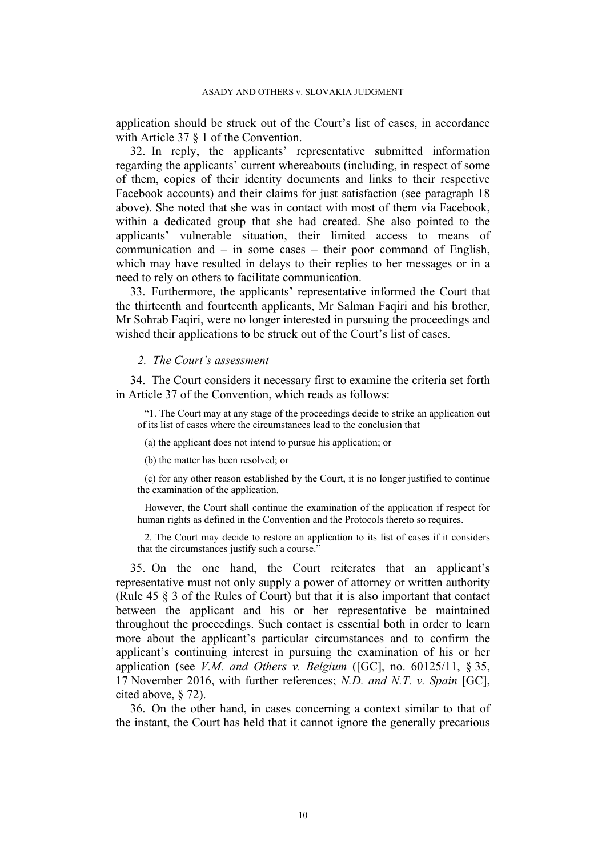application should be struck out of the Court's list of cases, in accordance with Article 37 § 1 of the Convention.

32. In reply, the applicants' representative submitted information regarding the applicants' current whereabouts (including, in respect of some of them, copies of their identity documents and links to their respective Facebook accounts) and their claims for just satisfaction (see paragraph [18](#page-5-0) above). She noted that she was in contact with most of them via Facebook, within a dedicated group that she had created. She also pointed to the applicants' vulnerable situation, their limited access to means of communication and – in some cases – their poor command of English, which may have resulted in delays to their replies to her messages or in a need to rely on others to facilitate communication.

33. Furthermore, the applicants' representative informed the Court that the thirteenth and fourteenth applicants, Mr Salman Faqiri and his brother, Mr Sohrab Faqiri, were no longer interested in pursuing the proceedings and wished their applications to be struck out of the Court's list of cases.

#### *2. The Court's assessment*

34. The Court considers it necessary first to examine the criteria set forth in Article 37 of the Convention, which reads as follows:

"1. The Court may at any stage of the proceedings decide to strike an application out of its list of cases where the circumstances lead to the conclusion that

(a) the applicant does not intend to pursue his application; or

(b) the matter has been resolved; or

(c) for any other reason established by the Court, it is no longer justified to continue the examination of the application.

However, the Court shall continue the examination of the application if respect for human rights as defined in the Convention and the Protocols thereto so requires.

2. The Court may decide to restore an application to its list of cases if it considers that the circumstances justify such a course."

35. On the one hand, the Court reiterates that an applicant's representative must not only supply a power of attorney or written authority (Rule 45 § 3 of the Rules of Court) but that it is also important that contact between the applicant and his or her representative be maintained throughout the proceedings. Such contact is essential both in order to learn more about the applicant's particular circumstances and to confirm the applicant's continuing interest in pursuing the examination of his or her application (see *V.M. and Others v. Belgium* ([GC], no. 60125/11, § 35, 17 November 2016, with further references; *N.D. and N.T. v. Spain* [GC], cited above, § 72).

36. On the other hand, in cases concerning a context similar to that of the instant, the Court has held that it cannot ignore the generally precarious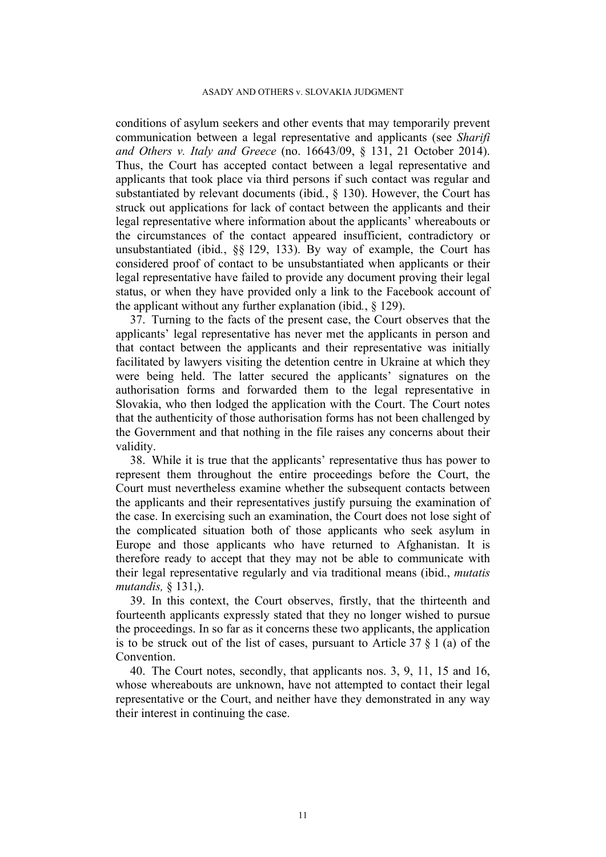conditions of asylum seekers and other events that may temporarily prevent communication between a legal representative and applicants (see *Sharifi and Others v. Italy and Greece* (no. 16643/09, § 131, 21 October 2014). Thus, the Court has accepted contact between a legal representative and applicants that took place via third persons if such contact was regular and substantiated by relevant documents (ibid*.*, § 130). However, the Court has struck out applications for lack of contact between the applicants and their legal representative where information about the applicants' whereabouts or the circumstances of the contact appeared insufficient, contradictory or unsubstantiated (ibid*.*, §§ 129, 133). By way of example, the Court has considered proof of contact to be unsubstantiated when applicants or their legal representative have failed to provide any document proving their legal status, or when they have provided only a link to the Facebook account of the applicant without any further explanation (ibid*.*, § 129).

37. Turning to the facts of the present case, the Court observes that the applicants' legal representative has never met the applicants in person and that contact between the applicants and their representative was initially facilitated by lawyers visiting the detention centre in Ukraine at which they were being held. The latter secured the applicants' signatures on the authorisation forms and forwarded them to the legal representative in Slovakia, who then lodged the application with the Court. The Court notes that the authenticity of those authorisation forms has not been challenged by the Government and that nothing in the file raises any concerns about their validity.

38. While it is true that the applicants' representative thus has power to represent them throughout the entire proceedings before the Court, the Court must nevertheless examine whether the subsequent contacts between the applicants and their representatives justify pursuing the examination of the case. In exercising such an examination, the Court does not lose sight of the complicated situation both of those applicants who seek asylum in Europe and those applicants who have returned to Afghanistan. It is therefore ready to accept that they may not be able to communicate with their legal representative regularly and via traditional means (ibid., *mutatis mutandis,* § 131,).

39. In this context, the Court observes, firstly, that the thirteenth and fourteenth applicants expressly stated that they no longer wished to pursue the proceedings. In so far as it concerns these two applicants, the application is to be struck out of the list of cases, pursuant to Article  $37 \t{3}$  1 (a) of the Convention.

40. The Court notes, secondly, that applicants nos. 3, 9, 11, 15 and 16, whose whereabouts are unknown, have not attempted to contact their legal representative or the Court, and neither have they demonstrated in any way their interest in continuing the case.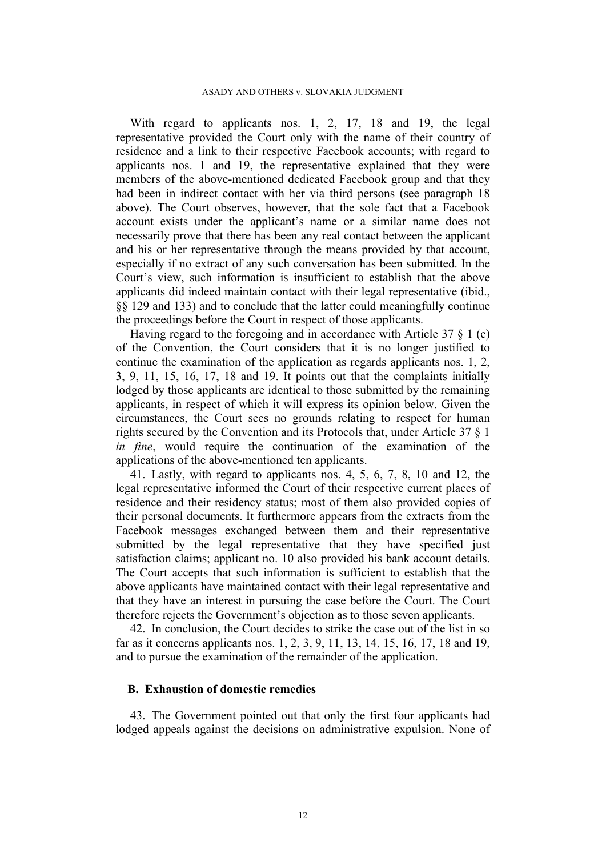With regard to applicants nos. 1, 2, 17, 18 and 19, the legal representative provided the Court only with the name of their country of residence and a link to their respective Facebook accounts; with regard to applicants nos. 1 and 19, the representative explained that they were members of the above-mentioned dedicated Facebook group and that they had been in indirect contact with her via third persons (see paragraph [18](#page-5-0) above). The Court observes, however, that the sole fact that a Facebook account exists under the applicant's name or a similar name does not necessarily prove that there has been any real contact between the applicant and his or her representative through the means provided by that account, especially if no extract of any such conversation has been submitted. In the Court's view, such information is insufficient to establish that the above applicants did indeed maintain contact with their legal representative (ibid., §§ 129 and 133) and to conclude that the latter could meaningfully continue the proceedings before the Court in respect of those applicants.

Having regard to the foregoing and in accordance with Article 37  $\S$  1 (c) of the Convention, the Court considers that it is no longer justified to continue the examination of the application as regards applicants nos. 1, 2, 3, 9, 11, 15, 16, 17, 18 and 19. It points out that the complaints initially lodged by those applicants are identical to those submitted by the remaining applicants, in respect of which it will express its opinion below. Given the circumstances, the Court sees no grounds relating to respect for human rights secured by the Convention and its Protocols that, under Article 37 § 1 *in fine*, would require the continuation of the examination of the applications of the above-mentioned ten applicants.

41. Lastly, with regard to applicants nos. 4, 5, 6, 7, 8, 10 and 12, the legal representative informed the Court of their respective current places of residence and their residency status; most of them also provided copies of their personal documents. It furthermore appears from the extracts from the Facebook messages exchanged between them and their representative submitted by the legal representative that they have specified just satisfaction claims; applicant no. 10 also provided his bank account details. The Court accepts that such information is sufficient to establish that the above applicants have maintained contact with their legal representative and that they have an interest in pursuing the case before the Court. The Court therefore rejects the Government's objection as to those seven applicants.

42. In conclusion, the Court decides to strike the case out of the list in so far as it concerns applicants nos. 1, 2, 3, 9, 11, 13, 14, 15, 16, 17, 18 and 19, and to pursue the examination of the remainder of the application.

### **B. Exhaustion of domestic remedies**

43. The Government pointed out that only the first four applicants had lodged appeals against the decisions on administrative expulsion. None of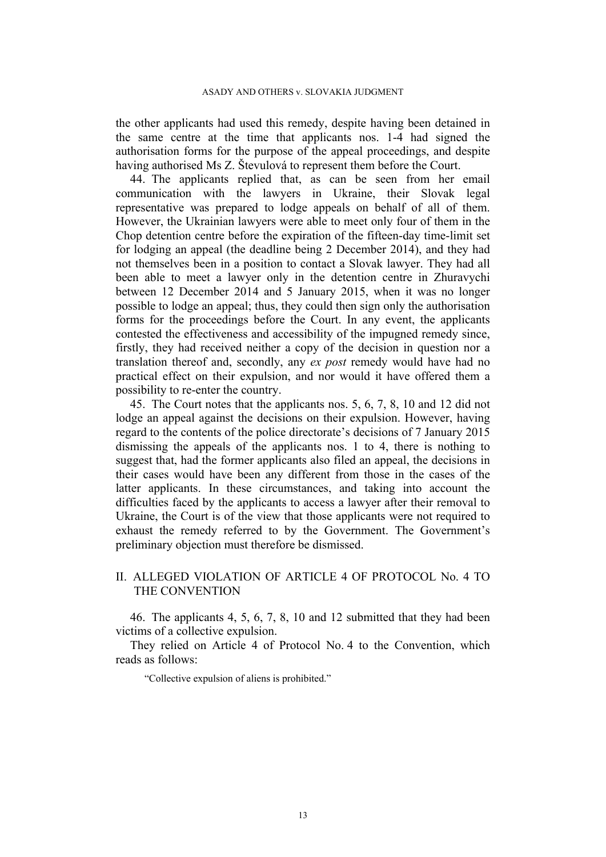the other applicants had used this remedy, despite having been detained in the same centre at the time that applicants nos. 1-4 had signed the authorisation forms for the purpose of the appeal proceedings, and despite having authorised Ms Z. Števulová to represent them before the Court.

44. The applicants replied that, as can be seen from her email communication with the lawyers in Ukraine, their Slovak legal representative was prepared to lodge appeals on behalf of all of them. However, the Ukrainian lawyers were able to meet only four of them in the Chop detention centre before the expiration of the fifteen-day time-limit set for lodging an appeal (the deadline being 2 December 2014), and they had not themselves been in a position to contact a Slovak lawyer. They had all been able to meet a lawyer only in the detention centre in Zhuravychi between 12 December 2014 and 5 January 2015, when it was no longer possible to lodge an appeal; thus, they could then sign only the authorisation forms for the proceedings before the Court. In any event, the applicants contested the effectiveness and accessibility of the impugned remedy since, firstly, they had received neither a copy of the decision in question nor a translation thereof and, secondly, any *ex post* remedy would have had no practical effect on their expulsion, and nor would it have offered them a possibility to re-enter the country.

45. The Court notes that the applicants nos. 5, 6, 7, 8, 10 and 12 did not lodge an appeal against the decisions on their expulsion. However, having regard to the contents of the police directorate's decisions of 7 January 2015 dismissing the appeals of the applicants nos. 1 to 4, there is nothing to suggest that, had the former applicants also filed an appeal, the decisions in their cases would have been any different from those in the cases of the latter applicants. In these circumstances, and taking into account the difficulties faced by the applicants to access a lawyer after their removal to Ukraine, the Court is of the view that those applicants were not required to exhaust the remedy referred to by the Government. The Government's preliminary objection must therefore be dismissed.

# II. ALLEGED VIOLATION OF ARTICLE 4 OF PROTOCOL No. 4 TO THE CONVENTION

46. The applicants 4, 5, 6, 7, 8, 10 and 12 submitted that they had been victims of a collective expulsion.

They relied on Article 4 of Protocol No. 4 to the Convention, which reads as follows:

"Collective expulsion of aliens is prohibited."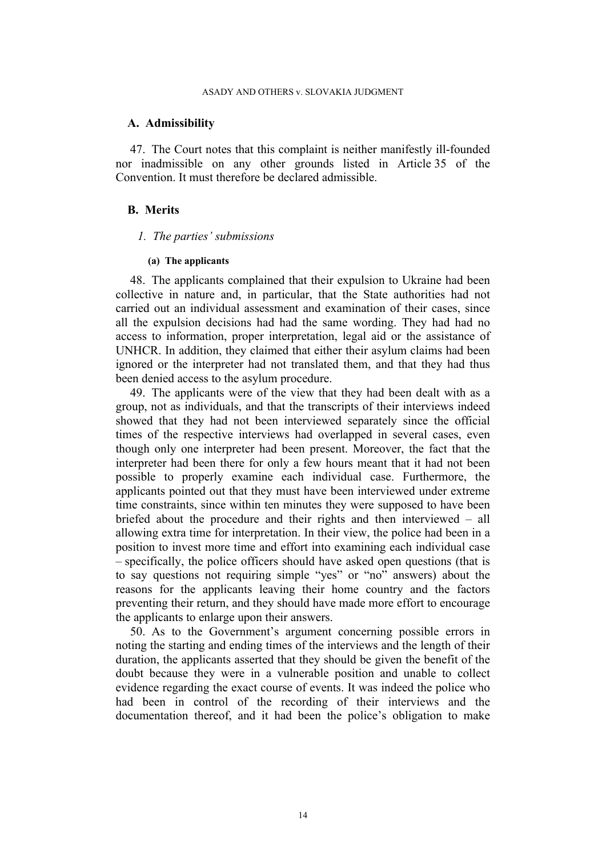#### **A. Admissibility**

47. The Court notes that this complaint is neither manifestly ill-founded nor inadmissible on any other grounds listed in Article 35 of the Convention. It must therefore be declared admissible.

### **B. Merits**

#### *1. The parties' submissions*

#### **(a) The applicants**

48. The applicants complained that their expulsion to Ukraine had been collective in nature and, in particular, that the State authorities had not carried out an individual assessment and examination of their cases, since all the expulsion decisions had had the same wording. They had had no access to information, proper interpretation, legal aid or the assistance of UNHCR. In addition, they claimed that either their asylum claims had been ignored or the interpreter had not translated them, and that they had thus been denied access to the asylum procedure.

49. The applicants were of the view that they had been dealt with as a group, not as individuals, and that the transcripts of their interviews indeed showed that they had not been interviewed separately since the official times of the respective interviews had overlapped in several cases, even though only one interpreter had been present. Moreover, the fact that the interpreter had been there for only a few hours meant that it had not been possible to properly examine each individual case. Furthermore, the applicants pointed out that they must have been interviewed under extreme time constraints, since within ten minutes they were supposed to have been briefed about the procedure and their rights and then interviewed – all allowing extra time for interpretation. In their view, the police had been in a position to invest more time and effort into examining each individual case – specifically, the police officers should have asked open questions (that is to say questions not requiring simple "yes" or "no" answers) about the reasons for the applicants leaving their home country and the factors preventing their return, and they should have made more effort to encourage the applicants to enlarge upon their answers.

50. As to the Government's argument concerning possible errors in noting the starting and ending times of the interviews and the length of their duration, the applicants asserted that they should be given the benefit of the doubt because they were in a vulnerable position and unable to collect evidence regarding the exact course of events. It was indeed the police who had been in control of the recording of their interviews and the documentation thereof, and it had been the police's obligation to make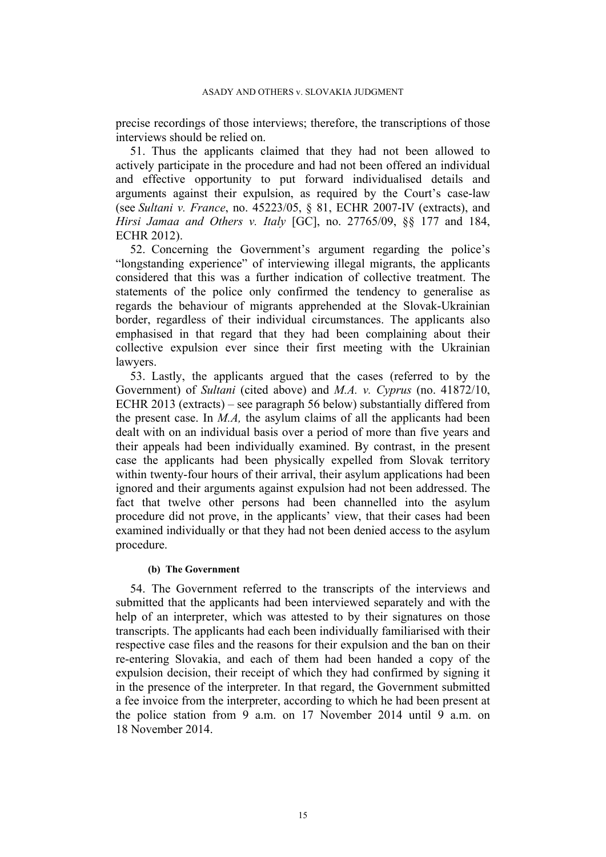precise recordings of those interviews; therefore, the transcriptions of those interviews should be relied on.

51. Thus the applicants claimed that they had not been allowed to actively participate in the procedure and had not been offered an individual and effective opportunity to put forward individualised details and arguments against their expulsion, as required by the Court's case-law (see *Sultani v. France*, no. 45223/05, § 81, ECHR 2007-IV (extracts), and *Hirsi Jamaa and Others v. Italy* [GC], no. 27765/09, §§ 177 and 184, ECHR 2012).

52. Concerning the Government's argument regarding the police's "longstanding experience" of interviewing illegal migrants, the applicants considered that this was a further indication of collective treatment. The statements of the police only confirmed the tendency to generalise as regards the behaviour of migrants apprehended at the Slovak-Ukrainian border, regardless of their individual circumstances. The applicants also emphasised in that regard that they had been complaining about their collective expulsion ever since their first meeting with the Ukrainian lawyers.

53. Lastly, the applicants argued that the cases (referred to by the Government) of *Sultani* (cited above) and *M.A. v. Cyprus* (no. 41872/10, ECHR 2013 (extracts) – see paragraph [56](#page-16-0) below) substantially differed from the present case. In *M.A,* the asylum claims of all the applicants had been dealt with on an individual basis over a period of more than five years and their appeals had been individually examined. By contrast, in the present case the applicants had been physically expelled from Slovak territory within twenty-four hours of their arrival, their asylum applications had been ignored and their arguments against expulsion had not been addressed. The fact that twelve other persons had been channelled into the asylum procedure did not prove, in the applicants' view, that their cases had been examined individually or that they had not been denied access to the asylum procedure.

#### **(b) The Government**

54. The Government referred to the transcripts of the interviews and submitted that the applicants had been interviewed separately and with the help of an interpreter, which was attested to by their signatures on those transcripts. The applicants had each been individually familiarised with their respective case files and the reasons for their expulsion and the ban on their re-entering Slovakia, and each of them had been handed a copy of the expulsion decision, their receipt of which they had confirmed by signing it in the presence of the interpreter. In that regard, the Government submitted a fee invoice from the interpreter, according to which he had been present at the police station from 9 a.m. on 17 November 2014 until 9 a.m. on 18 November 2014.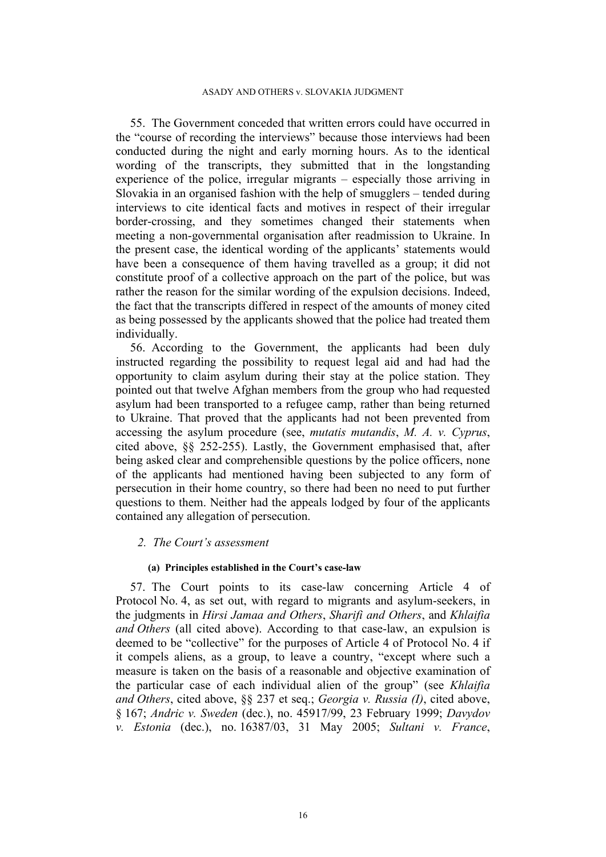55. The Government conceded that written errors could have occurred in the "course of recording the interviews" because those interviews had been conducted during the night and early morning hours. As to the identical wording of the transcripts, they submitted that in the longstanding experience of the police, irregular migrants – especially those arriving in Slovakia in an organised fashion with the help of smugglers – tended during interviews to cite identical facts and motives in respect of their irregular border-crossing, and they sometimes changed their statements when meeting a non-governmental organisation after readmission to Ukraine. In the present case, the identical wording of the applicants' statements would have been a consequence of them having travelled as a group; it did not constitute proof of a collective approach on the part of the police, but was rather the reason for the similar wording of the expulsion decisions. Indeed, the fact that the transcripts differed in respect of the amounts of money cited as being possessed by the applicants showed that the police had treated them individually.

<span id="page-16-0"></span>56. According to the Government, the applicants had been duly instructed regarding the possibility to request legal aid and had had the opportunity to claim asylum during their stay at the police station. They pointed out that twelve Afghan members from the group who had requested asylum had been transported to a refugee camp, rather than being returned to Ukraine. That proved that the applicants had not been prevented from accessing the asylum procedure (see, *mutatis mutandis*, *M. A. v. Cyprus*, cited above, §§ 252-255). Lastly, the Government emphasised that, after being asked clear and comprehensible questions by the police officers, none of the applicants had mentioned having been subjected to any form of persecution in their home country, so there had been no need to put further questions to them. Neither had the appeals lodged by four of the applicants contained any allegation of persecution.

### *2. The Court's assessment*

#### **(a) Principles established in the Court's case-law**

<span id="page-16-1"></span>57. The Court points to its case-law concerning Article 4 of Protocol No. 4, as set out, with regard to migrants and asylum-seekers, in the judgments in *Hirsi Jamaa and Others*, *Sharifi and Others*, and *Khlaifia and Others* (all cited above). According to that case-law, an expulsion is deemed to be "collective" for the purposes of Article 4 of Protocol No. 4 if it compels aliens, as a group, to leave a country, "except where such a measure is taken on the basis of a reasonable and objective examination of the particular case of each individual alien of the group" (see *Khlaifia and Others*, cited above, §§ 237 et seq.; *Georgia v. Russia (I)*, cited above, § 167; *Andric v. Sweden* (dec.), no. 45917/99, 23 February 1999; *Davydov v. Estonia* (dec.), no. 16387/03, 31 May 2005; *Sultani v. France*,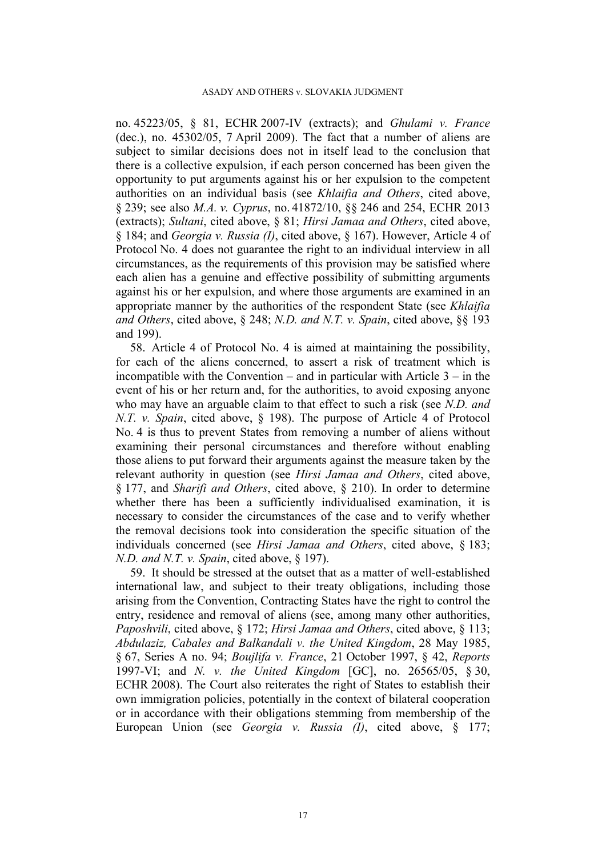no. 45223/05, § 81, ECHR 2007-IV (extracts); and *Ghulami v. France* (dec.), no. 45302/05, 7 April 2009). The fact that a number of aliens are subject to similar decisions does not in itself lead to the conclusion that there is a collective expulsion, if each person concerned has been given the opportunity to put arguments against his or her expulsion to the competent authorities on an individual basis (see *Khlaifia and Others*, cited above, § 239; see also *M.A. v. Cyprus*, no. 41872/10, §§ 246 and 254, ECHR 2013 (extracts); *Sultani*, cited above, § 81; *Hirsi Jamaa and Others*, cited above, § 184; and *Georgia v. Russia (I)*, cited above, § 167). However, Article 4 of Protocol No. 4 does not guarantee the right to an individual interview in all circumstances, as the requirements of this provision may be satisfied where each alien has a genuine and effective possibility of submitting arguments against his or her expulsion, and where those arguments are examined in an appropriate manner by the authorities of the respondent State (see *Khlaifia and Others*, cited above, § 248; *N.D. and N.T. v. Spain*, cited above, §§ 193 and 199).

<span id="page-17-0"></span>58. Article 4 of Protocol No. 4 is aimed at maintaining the possibility, for each of the aliens concerned, to assert a risk of treatment which is incompatible with the Convention – and in particular with Article 3 – in the event of his or her return and, for the authorities, to avoid exposing anyone who may have an arguable claim to that effect to such a risk (see *N.D. and N.T. v. Spain*, cited above, § 198). The purpose of Article 4 of Protocol No. 4 is thus to prevent States from removing a number of aliens without examining their personal circumstances and therefore without enabling those aliens to put forward their arguments against the measure taken by the relevant authority in question (see *Hirsi Jamaa and Others*, cited above, § 177, and *Sharifi and Others*, cited above, § 210). In order to determine whether there has been a sufficiently individualised examination, it is necessary to consider the circumstances of the case and to verify whether the removal decisions took into consideration the specific situation of the individuals concerned (see *Hirsi Jamaa and Others*, cited above, § 183; *N.D. and N.T. v. Spain*, cited above, § 197).

59. It should be stressed at the outset that as a matter of well-established international law, and subject to their treaty obligations, including those arising from the Convention, Contracting States have the right to control the entry, residence and removal of aliens (see, among many other authorities, *Paposhvili*, cited above, § 172; *Hirsi Jamaa and Others*, cited above, § 113; *Abdulaziz, Cabales and Balkandali v. the United Kingdom*, 28 May 1985, § 67, Series A no. 94; *Boujlifa v. France*, 21 October 1997, § 42, *Reports* 1997-VI; and *N. v. the United Kingdom* [GC], no. 26565/05, § 30, ECHR 2008). The Court also reiterates the right of States to establish their own immigration policies, potentially in the context of bilateral cooperation or in accordance with their obligations stemming from membership of the European Union (see *Georgia v. Russia (I)*, cited above, § 177;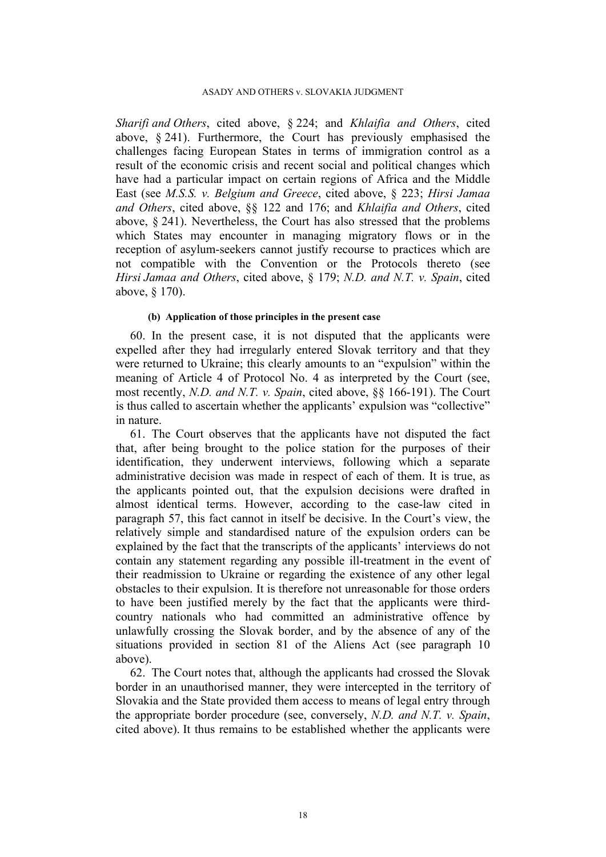#### ASADY AND OTHERS v. SLOVAKIA JUDGMENT

*Sharifi and Others*, cited above, § 224; and *Khlaifia and Others*, cited above, § 241). Furthermore, the Court has previously emphasised the challenges facing European States in terms of immigration control as a result of the economic crisis and recent social and political changes which have had a particular impact on certain regions of Africa and the Middle East (see *M.S.S. v. Belgium and Greece*, cited above, § 223; *Hirsi Jamaa and Others*, cited above, §§ 122 and 176; and *Khlaifia and Others*, cited above, § 241). Nevertheless, the Court has also stressed that the problems which States may encounter in managing migratory flows or in the reception of asylum-seekers cannot justify recourse to practices which are not compatible with the Convention or the Protocols thereto (see *Hirsi Jamaa and Others*, cited above, § 179; *N.D. and N.T. v. Spain*, cited above, § 170).

#### **(b) Application of those principles in the present case**

60. In the present case, it is not disputed that the applicants were expelled after they had irregularly entered Slovak territory and that they were returned to Ukraine; this clearly amounts to an "expulsion" within the meaning of Article 4 of Protocol No. 4 as interpreted by the Court (see, most recently, *N.D. and N.T. v. Spain*, cited above, §§ 166-191). The Court is thus called to ascertain whether the applicants' expulsion was "collective" in nature.

61. The Court observes that the applicants have not disputed the fact that, after being brought to the police station for the purposes of their identification, they underwent interviews, following which a separate administrative decision was made in respect of each of them. It is true, as the applicants pointed out, that the expulsion decisions were drafted in almost identical terms. However, according to the case-law cited in paragraph [57](#page-16-1), this fact cannot in itself be decisive. In the Court's view, the relatively simple and standardised nature of the expulsion orders can be explained by the fact that the transcripts of the applicants' interviews do not contain any statement regarding any possible ill-treatment in the event of their readmission to Ukraine or regarding the existence of any other legal obstacles to their expulsion. It is therefore not unreasonable for those orders to have been justified merely by the fact that the applicants were thirdcountry nationals who had committed an administrative offence by unlawfully crossing the Slovak border, and by the absence of any of the situations provided in section 81 of the Aliens Act (see paragraph [10](#page-4-0) above).

62. The Court notes that, although the applicants had crossed the Slovak border in an unauthorised manner, they were intercepted in the territory of Slovakia and the State provided them access to means of legal entry through the appropriate border procedure (see, conversely, *N.D. and N.T. v. Spain*, cited above). It thus remains to be established whether the applicants were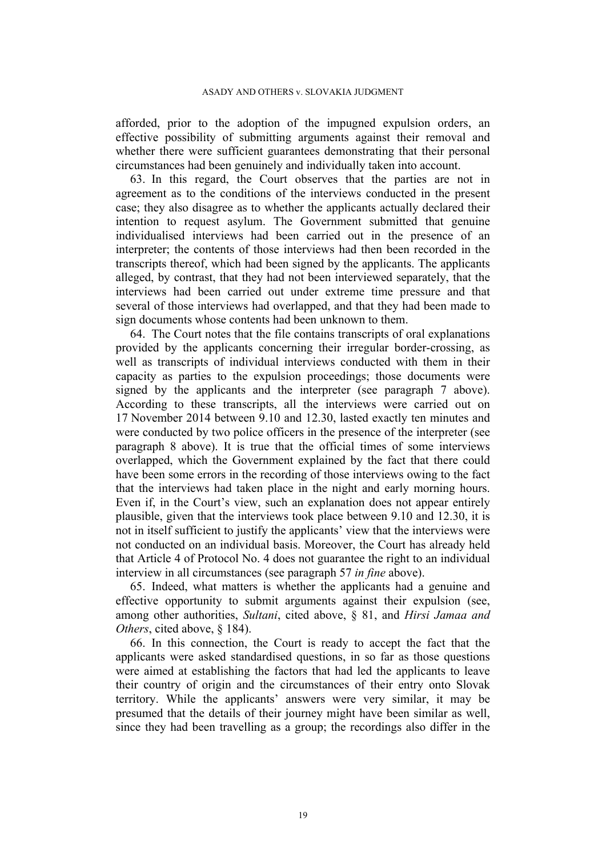afforded, prior to the adoption of the impugned expulsion orders, an effective possibility of submitting arguments against their removal and whether there were sufficient guarantees demonstrating that their personal circumstances had been genuinely and individually taken into account.

63. In this regard, the Court observes that the parties are not in agreement as to the conditions of the interviews conducted in the present case; they also disagree as to whether the applicants actually declared their intention to request asylum. The Government submitted that genuine individualised interviews had been carried out in the presence of an interpreter; the contents of those interviews had then been recorded in the transcripts thereof, which had been signed by the applicants. The applicants alleged, by contrast, that they had not been interviewed separately, that the interviews had been carried out under extreme time pressure and that several of those interviews had overlapped, and that they had been made to sign documents whose contents had been unknown to them.

64. The Court notes that the file contains transcripts of oral explanations provided by the applicants concerning their irregular border-crossing, as well as transcripts of individual interviews conducted with them in their capacity as parties to the expulsion proceedings; those documents were signed by the applicants and the interpreter (see paragraph [7](#page-2-0) above). According to these transcripts, all the interviews were carried out on 17 November 2014 between 9.10 and 12.30, lasted exactly ten minutes and were conducted by two police officers in the presence of the interpreter (see paragraph [8](#page-3-0) above). It is true that the official times of some interviews overlapped, which the Government explained by the fact that there could have been some errors in the recording of those interviews owing to the fact that the interviews had taken place in the night and early morning hours. Even if, in the Court's view, such an explanation does not appear entirely plausible, given that the interviews took place between 9.10 and 12.30, it is not in itself sufficient to justify the applicants' view that the interviews were not conducted on an individual basis. Moreover, the Court has already held that Article 4 of Protocol No. 4 does not guarantee the right to an individual interview in all circumstances (see paragraph [57](#page-16-1) *in fine* above).

65. Indeed, what matters is whether the applicants had a genuine and effective opportunity to submit arguments against their expulsion (see, among other authorities, *Sultani*, cited above, § 81, and *Hirsi Jamaa and Others*, cited above, § 184).

66. In this connection, the Court is ready to accept the fact that the applicants were asked standardised questions, in so far as those questions were aimed at establishing the factors that had led the applicants to leave their country of origin and the circumstances of their entry onto Slovak territory. While the applicants' answers were very similar, it may be presumed that the details of their journey might have been similar as well, since they had been travelling as a group; the recordings also differ in the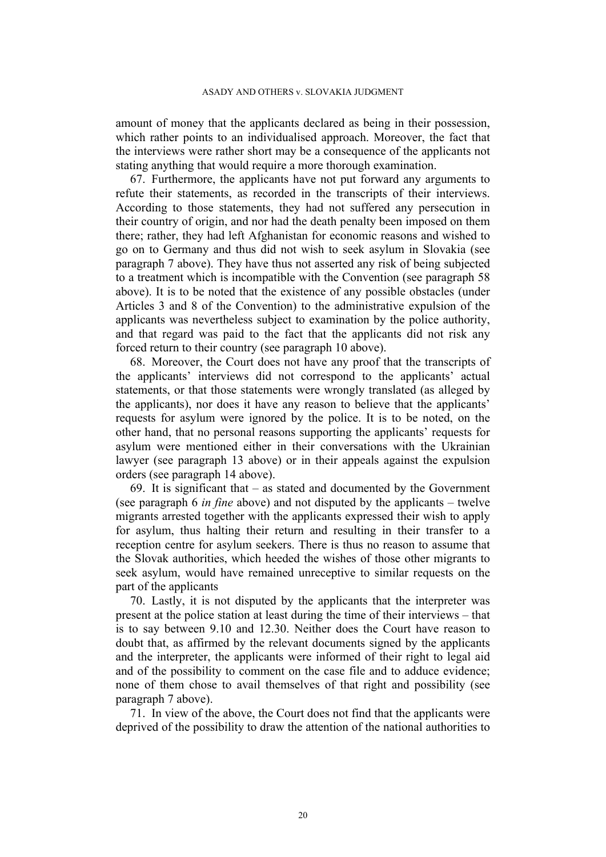#### ASADY AND OTHERS v. SLOVAKIA JUDGMENT

amount of money that the applicants declared as being in their possession, which rather points to an individualised approach. Moreover, the fact that the interviews were rather short may be a consequence of the applicants not stating anything that would require a more thorough examination.

67. Furthermore, the applicants have not put forward any arguments to refute their statements, as recorded in the transcripts of their interviews. According to those statements, they had not suffered any persecution in their country of origin, and nor had the death penalty been imposed on them there; rather, they had left Afghanistan for economic reasons and wished to go on to Germany and thus did not wish to seek asylum in Slovakia (see paragraph [7](#page-2-0) above). They have thus not asserted any risk of being subjected to a treatment which is incompatible with the Convention (see paragraph [58](#page-17-0) above). It is to be noted that the existence of any possible obstacles (under Articles 3 and 8 of the Convention) to the administrative expulsion of the applicants was nevertheless subject to examination by the police authority, and that regard was paid to the fact that the applicants did not risk any forced return to their country (see paragraph [10](#page-4-0) above).

68. Moreover, the Court does not have any proof that the transcripts of the applicants' interviews did not correspond to the applicants' actual statements, or that those statements were wrongly translated (as alleged by the applicants), nor does it have any reason to believe that the applicants' requests for asylum were ignored by the police. It is to be noted, on the other hand, that no personal reasons supporting the applicants' requests for asylum were mentioned either in their conversations with the Ukrainian lawyer (see paragraph [13](#page-4-1) above) or in their appeals against the expulsion orders (see paragraph [14](#page-5-1) above).

69. It is significant that – as stated and documented by the Government (see paragraph [6](#page-2-1) *in fine* above) and not disputed by the applicants – twelve migrants arrested together with the applicants expressed their wish to apply for asylum, thus halting their return and resulting in their transfer to a reception centre for asylum seekers. There is thus no reason to assume that the Slovak authorities, which heeded the wishes of those other migrants to seek asylum, would have remained unreceptive to similar requests on the part of the applicants

70. Lastly, it is not disputed by the applicants that the interpreter was present at the police station at least during the time of their interviews – that is to say between 9.10 and 12.30. Neither does the Court have reason to doubt that, as affirmed by the relevant documents signed by the applicants and the interpreter, the applicants were informed of their right to legal aid and of the possibility to comment on the case file and to adduce evidence; none of them chose to avail themselves of that right and possibility (see paragraph [7](#page-2-0) above).

71. In view of the above, the Court does not find that the applicants were deprived of the possibility to draw the attention of the national authorities to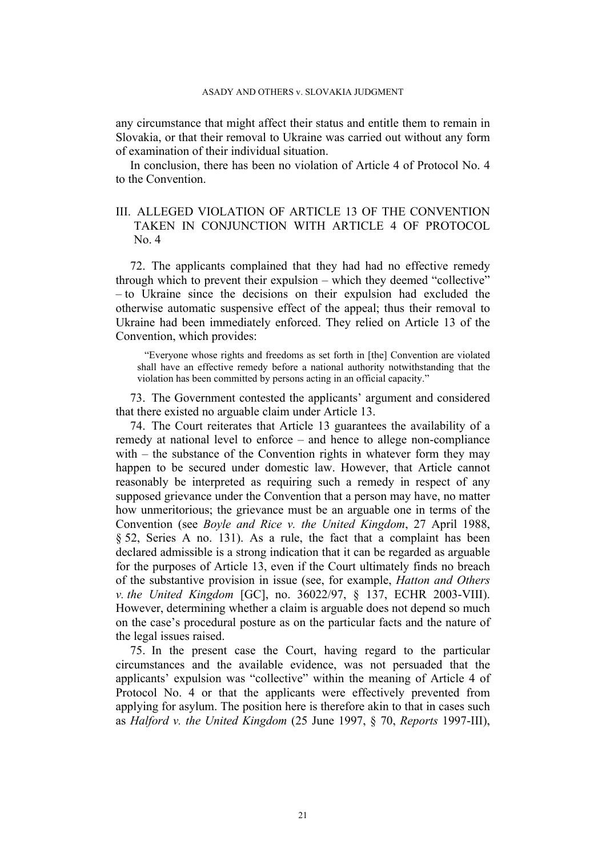any circumstance that might affect their status and entitle them to remain in Slovakia, or that their removal to Ukraine was carried out without any form of examination of their individual situation.

In conclusion, there has been no violation of Article 4 of Protocol No. 4 to the Convention.

## III. ALLEGED VIOLATION OF ARTICLE 13 OF THE CONVENTION TAKEN IN CONJUNCTION WITH ARTICLE 4 OF PROTOCOL No. 4

72. The applicants complained that they had had no effective remedy through which to prevent their expulsion – which they deemed "collective" – to Ukraine since the decisions on their expulsion had excluded the otherwise automatic suspensive effect of the appeal; thus their removal to Ukraine had been immediately enforced. They relied on Article 13 of the Convention, which provides:

"Everyone whose rights and freedoms as set forth in [the] Convention are violated shall have an effective remedy before a national authority notwithstanding that the violation has been committed by persons acting in an official capacity."

73. The Government contested the applicants' argument and considered that there existed no arguable claim under Article 13.

74. The Court reiterates that Article 13 guarantees the availability of a remedy at national level to enforce – and hence to allege non-compliance with – the substance of the Convention rights in whatever form they may happen to be secured under domestic law. However, that Article cannot reasonably be interpreted as requiring such a remedy in respect of any supposed grievance under the Convention that a person may have, no matter how unmeritorious; the grievance must be an arguable one in terms of the Convention (see *Boyle and Rice v. the United Kingdom*, 27 April 1988, § 52, Series A no. 131). As a rule, the fact that a complaint has been declared admissible is a strong indication that it can be regarded as arguable for the purposes of Article 13, even if the Court ultimately finds no breach of the substantive provision in issue (see, for example, *Hatton and Others v. the United Kingdom* [GC], no. 36022/97, § 137, ECHR 2003-VIII). However, determining whether a claim is arguable does not depend so much on the case's procedural posture as on the particular facts and the nature of the legal issues raised.

75. In the present case the Court, having regard to the particular circumstances and the available evidence, was not persuaded that the applicants' expulsion was "collective" within the meaning of Article 4 of Protocol No. 4 or that the applicants were effectively prevented from applying for asylum. The position here is therefore akin to that in cases such as *Halford v. the United Kingdom* (25 June 1997, § 70, *Reports* 1997-III),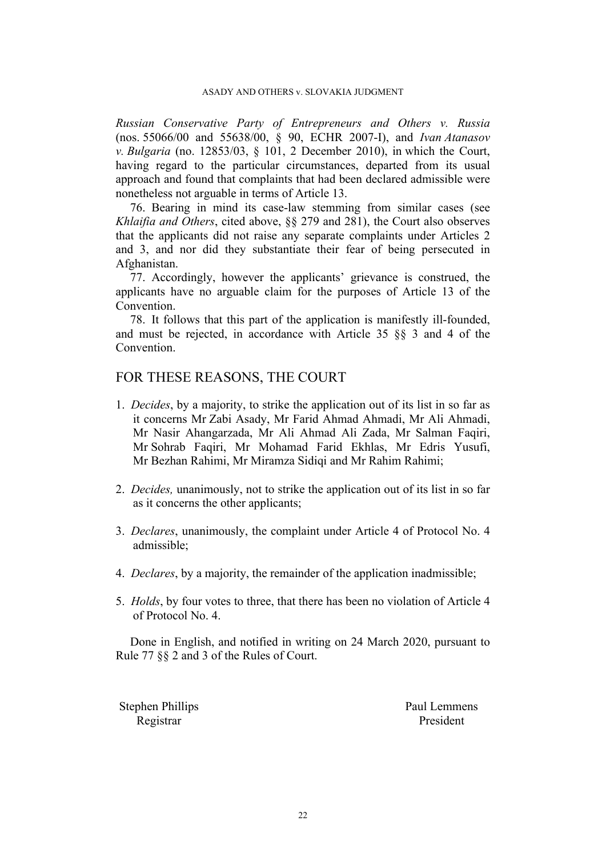#### ASADY AND OTHERS v. SLOVAKIA JUDGMENT

*Russian Conservative Party of Entrepreneurs and Others v. Russia* (nos. 55066/00 and 55638/00, § 90, ECHR 2007-I), and *Ivan Atanasov v. Bulgaria* (no. 12853/03, § 101, 2 December 2010), in which the Court, having regard to the particular circumstances, departed from its usual approach and found that complaints that had been declared admissible were nonetheless not arguable in terms of Article 13.

76. Bearing in mind its case-law stemming from similar cases (see *Khlaifia and Others*, cited above, §§ 279 and 281), the Court also observes that the applicants did not raise any separate complaints under Articles 2 and 3, and nor did they substantiate their fear of being persecuted in Afghanistan.

77. Accordingly, however the applicants' grievance is construed, the applicants have no arguable claim for the purposes of Article 13 of the Convention.

78. It follows that this part of the application is manifestly ill-founded, and must be rejected, in accordance with Article 35 §§ 3 and 4 of the Convention.

# FOR THESE REASONS, THE COURT

- 1. *Decides*, by a majority, to strike the application out of its list in so far as it concerns Mr Zabi Asady, Mr Farid Ahmad Ahmadi, Mr Ali Ahmadi, Mr Nasir Ahangarzada, Mr Ali Ahmad Ali Zada, Mr Salman Faqiri, Mr Sohrab Faqiri, Mr Mohamad Farid Ekhlas, Mr Edris Yusufi, Mr Bezhan Rahimi, Mr Miramza Sidiqi and Mr Rahim Rahimi;
- 2. *Decides,* unanimously, not to strike the application out of its list in so far as it concerns the other applicants;
- 3. *Declares*, unanimously, the complaint under Article 4 of Protocol No. 4 admissible;
- 4. *Declares*, by a majority, the remainder of the application inadmissible;
- 5. *Holds*, by four votes to three, that there has been no violation of Article 4 of Protocol No. 4.

Done in English, and notified in writing on 24 March 2020, pursuant to Rule 77 §§ 2 and 3 of the Rules of Court.

Stephen Phillips Paul Lemmens Registrar President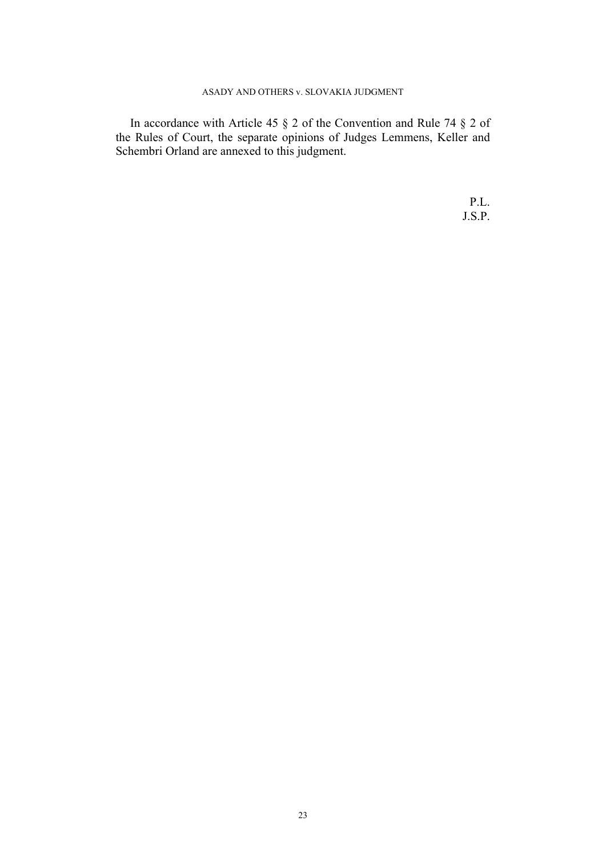### ASADY AND OTHERS v. SLOVAKIA JUDGMENT

In accordance with Article 45 § 2 of the Convention and Rule 74 § 2 of the Rules of Court, the separate opinions of Judges Lemmens, Keller and Schembri Orland are annexed to this judgment.

> P.L. J.S.P.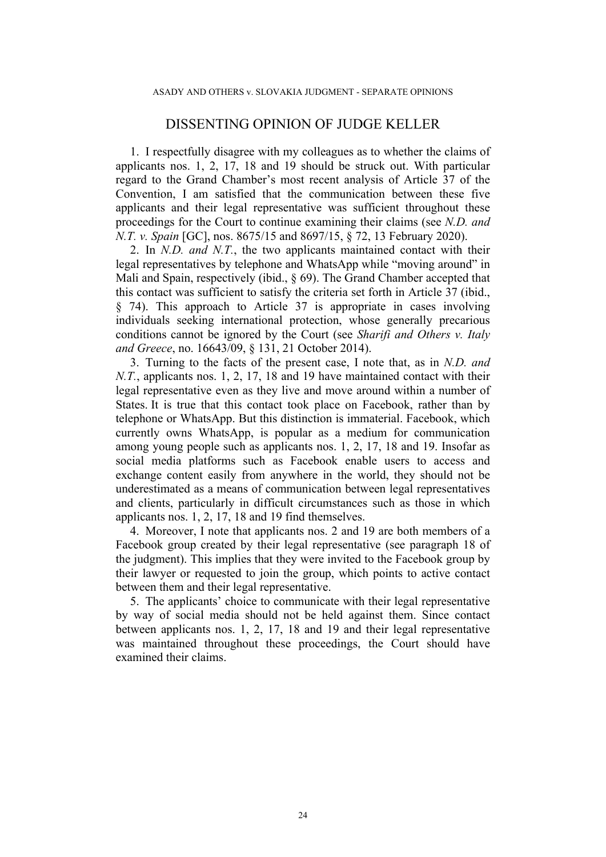# DISSENTING OPINION OF JUDGE KELLER

1. I respectfully disagree with my colleagues as to whether the claims of applicants nos. 1, 2, 17, 18 and 19 should be struck out. With particular regard to the Grand Chamber's most recent analysis of Article 37 of the Convention, I am satisfied that the communication between these five applicants and their legal representative was sufficient throughout these proceedings for the Court to continue examining their claims (see *N.D. and N.T. v. Spain* [GC], nos. 8675/15 and 8697/15, § 72, 13 February 2020).

2. In *N.D. and N.T.*, the two applicants maintained contact with their legal representatives by telephone and WhatsApp while "moving around" in Mali and Spain, respectively (ibid., § 69). The Grand Chamber accepted that this contact was sufficient to satisfy the criteria set forth in Article 37 (ibid., § 74). This approach to Article 37 is appropriate in cases involving individuals seeking international protection, whose generally precarious conditions cannot be ignored by the Court (see *Sharifi and Others v. Italy and Greece*, no. 16643/09, § 131, 21 October 2014).

3. Turning to the facts of the present case, I note that, as in *N.D. and N.T.*, applicants nos. 1, 2, 17, 18 and 19 have maintained contact with their legal representative even as they live and move around within a number of States. It is true that this contact took place on Facebook, rather than by telephone or WhatsApp. But this distinction is immaterial. Facebook, which currently owns WhatsApp, is popular as a medium for communication among young people such as applicants nos. 1, 2, 17, 18 and 19. Insofar as social media platforms such as Facebook enable users to access and exchange content easily from anywhere in the world, they should not be underestimated as a means of communication between legal representatives and clients, particularly in difficult circumstances such as those in which applicants nos. 1, 2, 17, 18 and 19 find themselves.

4. Moreover, I note that applicants nos. 2 and 19 are both members of a Facebook group created by their legal representative (see paragraph 18 of the judgment). This implies that they were invited to the Facebook group by their lawyer or requested to join the group, which points to active contact between them and their legal representative.

5. The applicants' choice to communicate with their legal representative by way of social media should not be held against them. Since contact between applicants nos. 1, 2, 17, 18 and 19 and their legal representative was maintained throughout these proceedings, the Court should have examined their claims.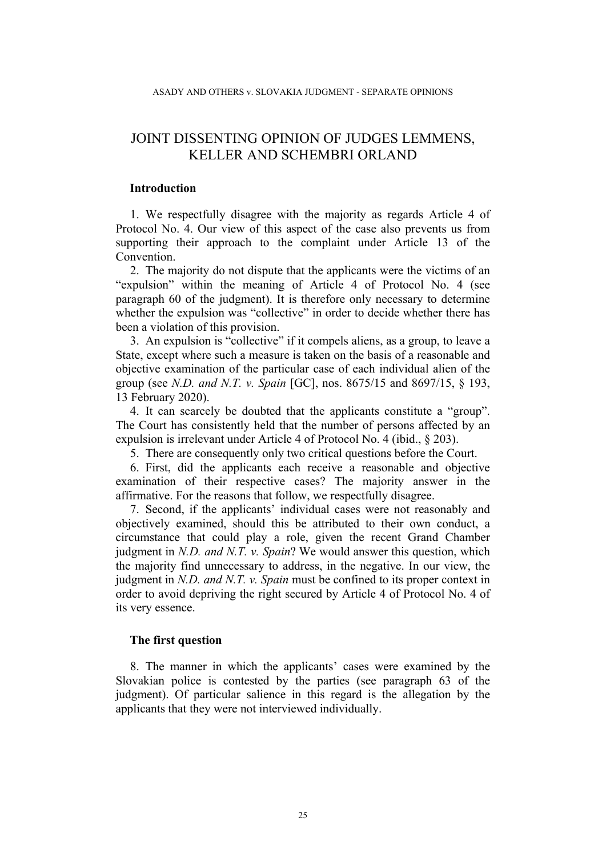# JOINT DISSENTING OPINION OF JUDGES LEMMENS, KELLER AND SCHEMBRI ORLAND

### **Introduction**

1. We respectfully disagree with the majority as regards Article 4 of Protocol No. 4. Our view of this aspect of the case also prevents us from supporting their approach to the complaint under Article 13 of the Convention.

2. The majority do not dispute that the applicants were the victims of an "expulsion" within the meaning of Article 4 of Protocol No. 4 (see paragraph 60 of the judgment). It is therefore only necessary to determine whether the expulsion was "collective" in order to decide whether there has been a violation of this provision.

3. An expulsion is "collective" if it compels aliens, as a group, to leave a State, except where such a measure is taken on the basis of a reasonable and objective examination of the particular case of each individual alien of the group (see *N.D. and N.T. v. Spain* [GC], nos. 8675/15 and 8697/15, § 193, 13 February 2020).

4. It can scarcely be doubted that the applicants constitute a "group". The Court has consistently held that the number of persons affected by an expulsion is irrelevant under Article 4 of Protocol No. 4 (ibid., § 203).

5. There are consequently only two critical questions before the Court.

6. First, did the applicants each receive a reasonable and objective examination of their respective cases? The majority answer in the affirmative. For the reasons that follow, we respectfully disagree.

7. Second, if the applicants' individual cases were not reasonably and objectively examined, should this be attributed to their own conduct, a circumstance that could play a role, given the recent Grand Chamber judgment in *N.D. and N.T. v. Spain*? We would answer this question, which the majority find unnecessary to address, in the negative. In our view, the judgment in *N.D. and N.T. v. Spain* must be confined to its proper context in order to avoid depriving the right secured by Article 4 of Protocol No. 4 of its very essence.

### **The first question**

8. The manner in which the applicants' cases were examined by the Slovakian police is contested by the parties (see paragraph 63 of the judgment). Of particular salience in this regard is the allegation by the applicants that they were not interviewed individually.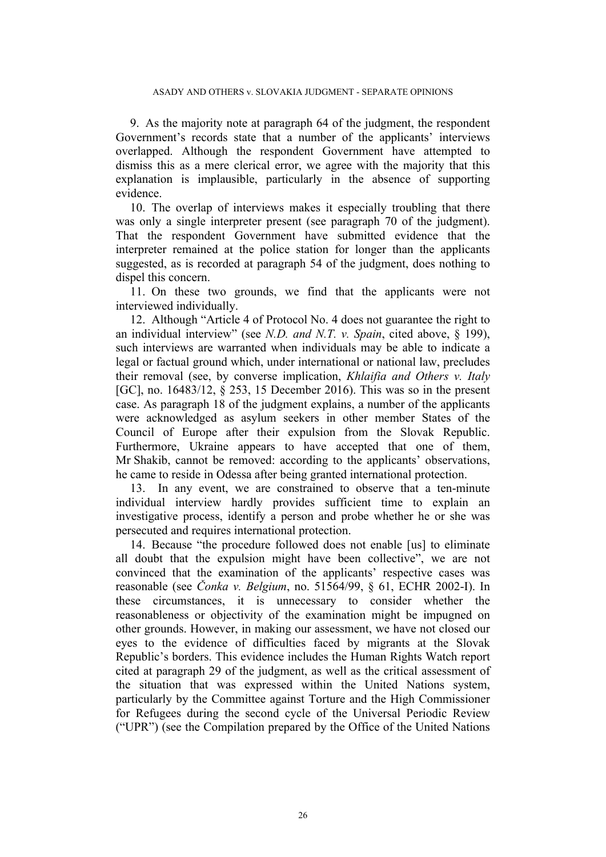9. As the majority note at paragraph 64 of the judgment, the respondent Government's records state that a number of the applicants' interviews overlapped. Although the respondent Government have attempted to dismiss this as a mere clerical error, we agree with the majority that this explanation is implausible, particularly in the absence of supporting evidence.

10. The overlap of interviews makes it especially troubling that there was only a single interpreter present (see paragraph 70 of the judgment). That the respondent Government have submitted evidence that the interpreter remained at the police station for longer than the applicants suggested, as is recorded at paragraph 54 of the judgment, does nothing to dispel this concern.

11. On these two grounds, we find that the applicants were not interviewed individually.

12. Although "Article 4 of Protocol No. 4 does not guarantee the right to an individual interview" (see *N.D. and N.T. v. Spain*, cited above, § 199), such interviews are warranted when individuals may be able to indicate a legal or factual ground which, under international or national law, precludes their removal (see, by converse implication, *Khlaifia and Others v. Italy* [GC], no. 16483/12, § 253, 15 December 2016). This was so in the present case. As paragraph 18 of the judgment explains, a number of the applicants were acknowledged as asylum seekers in other member States of the Council of Europe after their expulsion from the Slovak Republic. Furthermore, Ukraine appears to have accepted that one of them, Mr Shakib, cannot be removed: according to the applicants' observations, he came to reside in Odessa after being granted international protection.

13. In any event, we are constrained to observe that a ten-minute individual interview hardly provides sufficient time to explain an investigative process, identify a person and probe whether he or she was persecuted and requires international protection.

14. Because "the procedure followed does not enable [us] to eliminate all doubt that the expulsion might have been collective", we are not convinced that the examination of the applicants' respective cases was reasonable (see *Čonka v. Belgium*, no. 51564/99, § 61, ECHR 2002-I). In these circumstances, it is unnecessary to consider whether the reasonableness or objectivity of the examination might be impugned on other grounds. However, in making our assessment, we have not closed our eyes to the evidence of difficulties faced by migrants at the Slovak Republic's borders. This evidence includes the Human Rights Watch report cited at paragraph 29 of the judgment, as well as the critical assessment of the situation that was expressed within the United Nations system, particularly by the Committee against Torture and the High Commissioner for Refugees during the second cycle of the Universal Periodic Review ("UPR") (see the Compilation prepared by the Office of the United Nations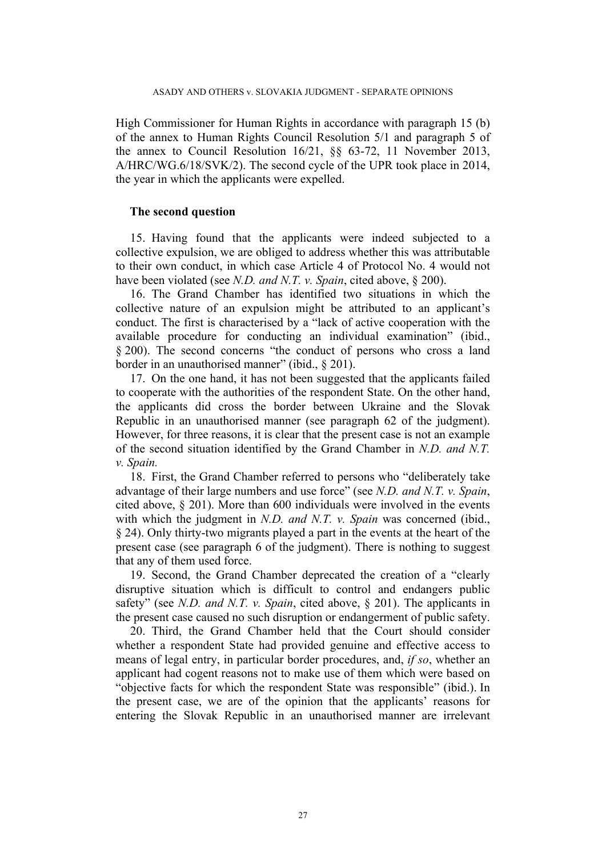High Commissioner for Human Rights in accordance with paragraph 15 (b) of the annex to Human Rights Council Resolution 5/1 and paragraph 5 of the annex to Council Resolution 16/21, §§ 63-72, 11 November 2013, A/HRC/WG.6/18/SVK/2). The second cycle of the UPR took place in 2014, the year in which the applicants were expelled.

### **The second question**

15. Having found that the applicants were indeed subjected to a collective expulsion, we are obliged to address whether this was attributable to their own conduct, in which case Article 4 of Protocol No. 4 would not have been violated (see *N.D. and N.T. v. Spain*, cited above, § 200).

16. The Grand Chamber has identified two situations in which the collective nature of an expulsion might be attributed to an applicant's conduct. The first is characterised by a "lack of active cooperation with the available procedure for conducting an individual examination" (ibid., § 200). The second concerns "the conduct of persons who cross a land border in an unauthorised manner" (ibid., § 201).

17. On the one hand, it has not been suggested that the applicants failed to cooperate with the authorities of the respondent State. On the other hand, the applicants did cross the border between Ukraine and the Slovak Republic in an unauthorised manner (see paragraph 62 of the judgment). However, for three reasons, it is clear that the present case is not an example of the second situation identified by the Grand Chamber in *N.D. and N.T. v. Spain.*

18. First, the Grand Chamber referred to persons who "deliberately take advantage of their large numbers and use force" (see *N.D. and N.T. v. Spain*, cited above, § 201). More than 600 individuals were involved in the events with which the judgment in *N.D. and N.T. v. Spain* was concerned (ibid., § 24). Only thirty-two migrants played a part in the events at the heart of the present case (see paragraph 6 of the judgment). There is nothing to suggest that any of them used force.

19. Second, the Grand Chamber deprecated the creation of a "clearly disruptive situation which is difficult to control and endangers public safety" (see *N.D. and N.T. v. Spain*, cited above, § 201). The applicants in the present case caused no such disruption or endangerment of public safety.

20. Third, the Grand Chamber held that the Court should consider whether a respondent State had provided genuine and effective access to means of legal entry, in particular border procedures, and, *if so*, whether an applicant had cogent reasons not to make use of them which were based on "objective facts for which the respondent State was responsible" (ibid.). In the present case, we are of the opinion that the applicants' reasons for entering the Slovak Republic in an unauthorised manner are irrelevant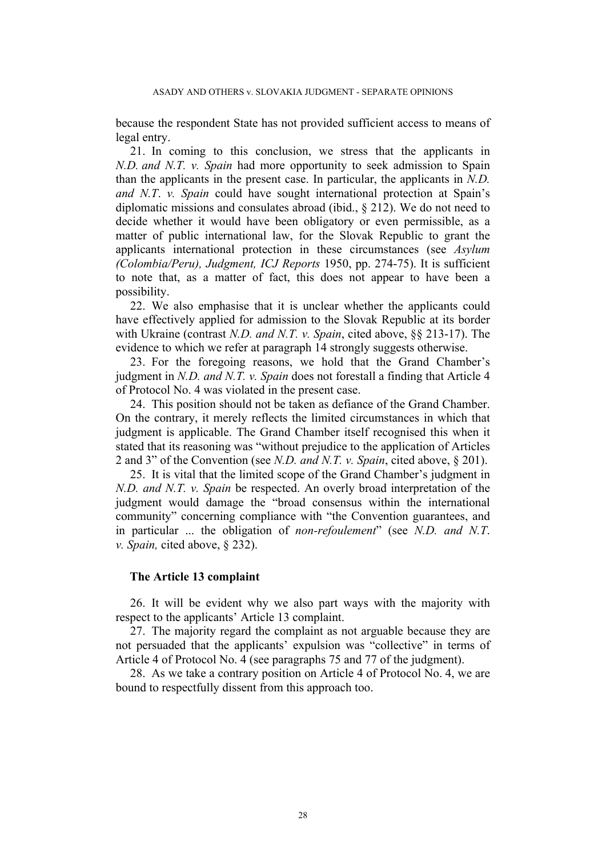because the respondent State has not provided sufficient access to means of legal entry.

21. In coming to this conclusion, we stress that the applicants in *N.D. and N.T. v. Spain* had more opportunity to seek admission to Spain than the applicants in the present case. In particular, the applicants in *N.D. and N.T*. *v. Spain* could have sought international protection at Spain's diplomatic missions and consulates abroad (ibid., § 212). We do not need to decide whether it would have been obligatory or even permissible, as a matter of public international law, for the Slovak Republic to grant the applicants international protection in these circumstances (see *Asylum (Colombia/Peru), Judgment, ICJ Reports* 1950, pp. 274-75). It is sufficient to note that, as a matter of fact, this does not appear to have been a possibility.

22. We also emphasise that it is unclear whether the applicants could have effectively applied for admission to the Slovak Republic at its border with Ukraine (contrast *N.D. and N.T. v. Spain*, cited above, §§ 213-17). The evidence to which we refer at paragraph 14 strongly suggests otherwise.

23. For the foregoing reasons, we hold that the Grand Chamber's judgment in *N.D. and N.T. v. Spain* does not forestall a finding that Article 4 of Protocol No. 4 was violated in the present case.

24. This position should not be taken as defiance of the Grand Chamber. On the contrary, it merely reflects the limited circumstances in which that judgment is applicable. The Grand Chamber itself recognised this when it stated that its reasoning was "without prejudice to the application of Articles 2 and 3" of the Convention (see *N.D. and N.T. v. Spain*, cited above, § 201).

25. It is vital that the limited scope of the Grand Chamber's judgment in *N.D. and N.T. v. Spain* be respected. An overly broad interpretation of the judgment would damage the "broad consensus within the international community" concerning compliance with "the Convention guarantees, and in particular ... the obligation of *non-refoulement*" (see *N.D. and N.T*. *v. Spain,* cited above, § 232).

#### **The Article 13 complaint**

26. It will be evident why we also part ways with the majority with respect to the applicants' Article 13 complaint.

27. The majority regard the complaint as not arguable because they are not persuaded that the applicants' expulsion was "collective" in terms of Article 4 of Protocol No. 4 (see paragraphs 75 and 77 of the judgment).

28. As we take a contrary position on Article 4 of Protocol No. 4, we are bound to respectfully dissent from this approach too.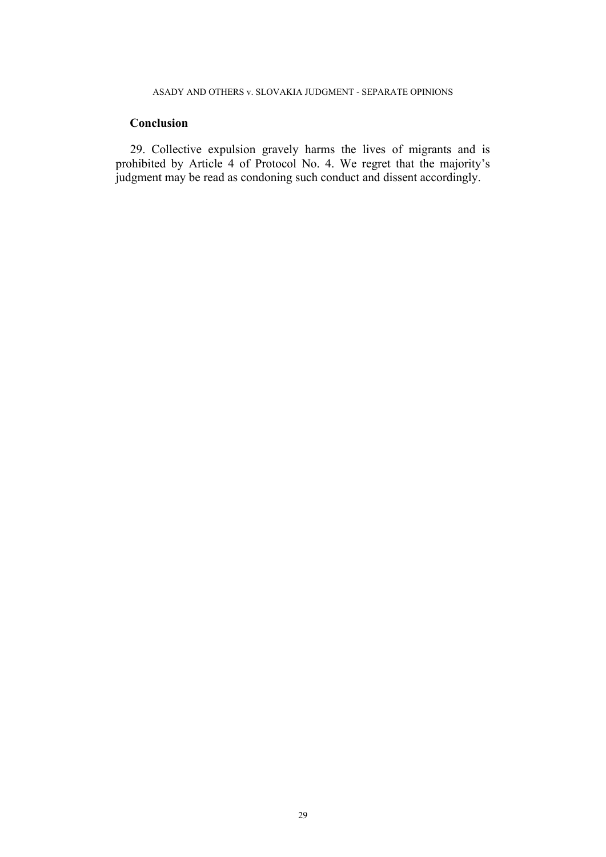## ASADY AND OTHERS v. SLOVAKIA JUDGMENT - SEPARATE OPINIONS

## **Conclusion**

29. Collective expulsion gravely harms the lives of migrants and is prohibited by Article 4 of Protocol No. 4. We regret that the majority's judgment may be read as condoning such conduct and dissent accordingly.